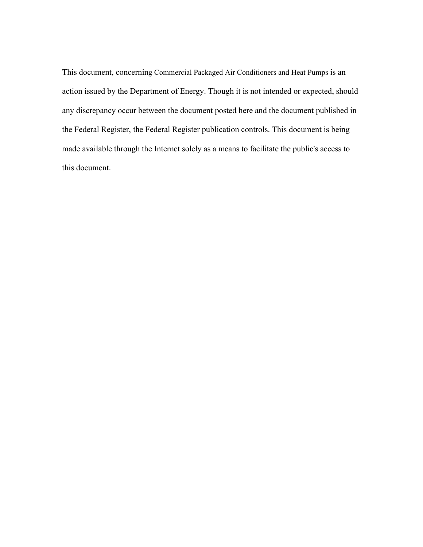This document, concerning Commercial Packaged Air Conditioners and Heat Pumps is an action issued by the Department of Energy. Though it is not intended or expected, should any discrepancy occur between the document posted here and the document published in the Federal Register, the Federal Register publication controls. This document is being made available through the Internet solely as a means to facilitate the public's access to this document.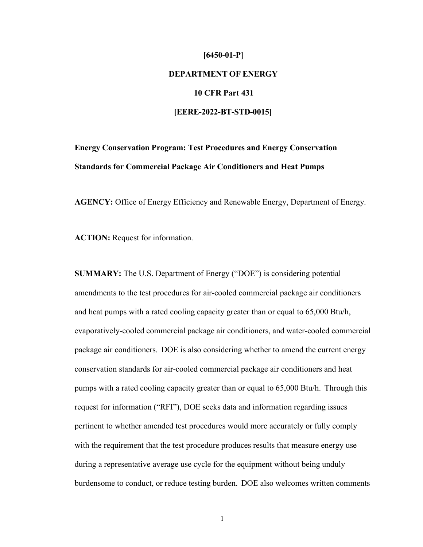# **[6450-01-P] DEPARTMENT OF ENERGY 10 CFR Part 431 [EERE-2022-BT-STD-0015]**

**Energy Conservation Program: Test Procedures and Energy Conservation Standards for Commercial Package Air Conditioners and Heat Pumps**

**AGENCY:** Office of Energy Efficiency and Renewable Energy, Department of Energy.

**ACTION:** Request for information.

**SUMMARY:** The U.S. Department of Energy ("DOE") is considering potential amendments to the test procedures for air-cooled commercial package air conditioners and heat pumps with a rated cooling capacity greater than or equal to 65,000 Btu/h, evaporatively-cooled commercial package air conditioners, and water-cooled commercial package air conditioners. DOE is also considering whether to amend the current energy conservation standards for air-cooled commercial package air conditioners and heat pumps with a rated cooling capacity greater than or equal to 65,000 Btu/h. Through this request for information ("RFI"), DOE seeks data and information regarding issues pertinent to whether amended test procedures would more accurately or fully comply with the requirement that the test procedure produces results that measure energy use during a representative average use cycle for the equipment without being unduly burdensome to conduct, or reduce testing burden. DOE also welcomes written comments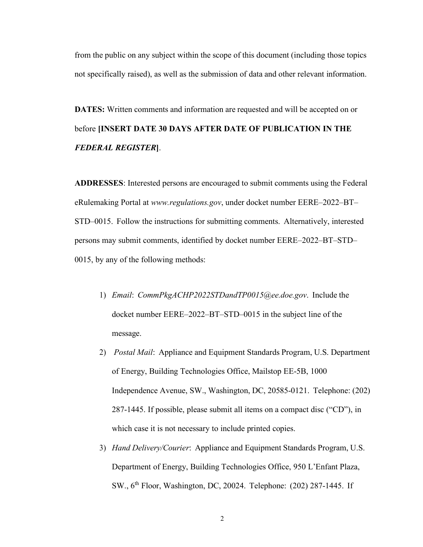from the public on any subject within the scope of this document (including those topics not specifically raised), as well as the submission of data and other relevant information.

**DATES:** Written comments and information are requested and will be accepted on or before **[INSERT DATE 30 DAYS AFTER DATE OF PUBLICATION IN THE**  *FEDERAL REGISTER***]**.

**ADDRESSES**: Interested persons are encouraged to submit comments using the Federal eRulemaking Portal at *[www.regulations.gov](http://www.regulations.gov/)*, under docket number EERE–2022–BT– STD–0015. Follow the instructions for submitting comments. Alternatively, interested persons may submit comments, identified by docket number EERE–2022–BT–STD– 0015, by any of the following methods:

- 1) *Email*: *[CommPkgACHP2022STDandTP0015@ee.doe.gov](mailto:CommPkgACHP2022STDandTP0015@ee.doe.gov)*. Include the docket number EERE–2022–BT–STD–0015 in the subject line of the message.
- 2) *Postal Mail*: Appliance and Equipment Standards Program, U.S. Department of Energy, Building Technologies Office, Mailstop EE-5B, 1000 Independence Avenue, SW., Washington, DC, 20585-0121. Telephone: (202) 287-1445. If possible, please submit all items on a compact disc ("CD"), in which case it is not necessary to include printed copies.
- 3) *Hand Delivery/Courier*: Appliance and Equipment Standards Program, U.S. Department of Energy, Building Technologies Office, 950 L'Enfant Plaza, SW., 6th Floor, Washington, DC, 20024. Telephone: (202) 287-1445. If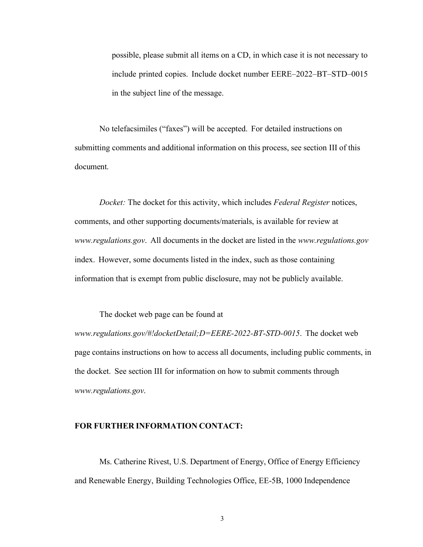possible, please submit all items on a CD, in which case it is not necessary to include printed copies. Include docket number EERE–2022–BT–STD–0015 in the subject line of the message.

No telefacsimiles ("faxes") will be accepted. For detailed instructions on submitting comments and additional information on this process, see section [III](#page-45-0) of this document.

*Docket:* The docket for this activity, which includes *Federal Register* notices, comments, and other supporting documents/materials, is available for review at *[www.regulations.gov](http://www.regulations.gov/)*. All documents in the docket are listed in the *[www.regulations.gov](http://www.regulations.gov/)* index. However, some documents listed in the index, such as those containing information that is exempt from public disclosure, may not be publicly available.

The docket web page can be found at

*[www.regulations.gov/#!docketDetail;D=EERE-2022-BT-STD-0015](http://www.regulations.gov/#!docketDetail%3BD%3DEERE-2022-BT-STD-0015)*. The docket web page contains instructions on how to access all documents, including public comments, in the docket. See section [III f](#page-45-0)or information on how to submit comments through *[www.regulations.gov](http://www.regulations.gov/)*.

#### **FOR FURTHER INFORMATION CONTACT:**

Ms. Catherine Rivest, U.S. Department of Energy, Office of Energy Efficiency and Renewable Energy, Building Technologies Office, EE-5B, 1000 Independence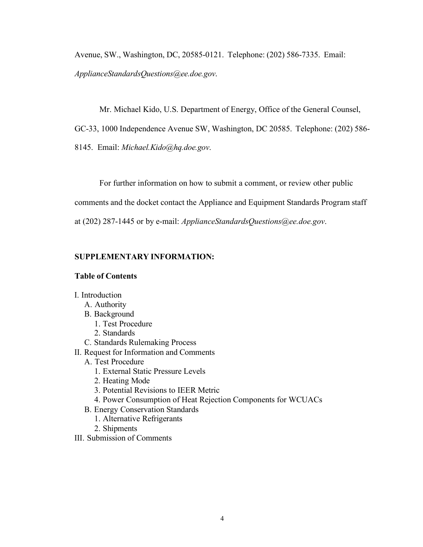Avenue, SW., Washington, DC, 20585-0121. Telephone: (202) 586-7335. Email: *[ApplianceStandardsQuestions@ee.doe.gov](mailto:ApplianceStandardsQuestions@ee.doe.gov)*.

Mr. Michael Kido, U.S. Department of Energy, Office of the General Counsel,

GC-33, 1000 Independence Avenue SW, Washington, DC 20585. Telephone: (202) 586-

8145. Email: *[Michael.Kido@hq.doe.gov](mailto:Michael.Kido@hq.doe.gov)*.

For further information on how to submit a comment, or review other public

comments and the docket contact the Appliance and Equipment Standards Program staff

at (202) 287-1445 or by e-mail: *[ApplianceStandardsQuestions@ee.doe.gov](mailto:ApplianceStandardsQuestions@ee.doe.gov)*.

# **SUPPLEMENTARY INFORMATION:**

# **Table of Contents**

- I. [Introduction](#page-5-0)
	- A. [Authority](#page-6-0)
	- B. [Background](#page-13-0)
		- 1. [Test Procedure](#page-13-1)
		- 2. [Standards](#page-16-0)
	- C. Standards [Rulemaking](#page-18-0) Process
- II. Request for [Information](#page-22-0) and Comments
	- A. [Test Procedure](#page-22-1)
		- 1. [External](#page-22-2) Static Pressure Levels
		- 2. [Heating](#page-30-0) Mode
		- 3. Potential [Revisions](#page-32-0) to IEER Metric
		- 4. Power [Consumption](#page-38-0) of Heat Rejection Components for WCUACs
	- B. Energy [Conservation](#page-40-0) Standards
		- 1. Alternative [Refrigerants](#page-41-0)
		- 2. [Shipments](#page-44-0)
- III. [Submission](#page-45-0) of Comments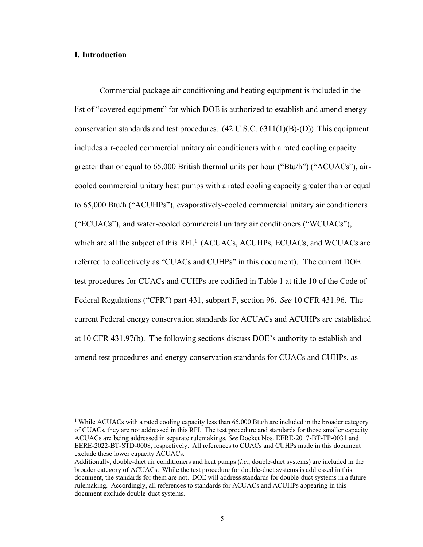#### <span id="page-5-0"></span>**I. Introduction**

Commercial package air conditioning and heating equipment is included in the list of "covered equipment" for which DOE is authorized to establish and amend energy conservation standards and test procedures. (42 U.S.C. 6311(1)(B)-(D)) This equipment includes air-cooled commercial unitary air conditioners with a rated cooling capacity greater than or equal to 65,000 British thermal units per hour ("Btu/h") ("ACUACs"), aircooled commercial unitary heat pumps with a rated cooling capacity greater than or equal to 65,000 Btu/h ("ACUHPs"), evaporatively-cooled commercial unitary air conditioners ("ECUACs"), and water-cooled commercial unitary air conditioners ("WCUACs"), which are all the subject of this  $RFI<sup>1</sup>$  (ACUACs, ACUHPs, ECUACs, and WCUACs are referred to collectively as "CUACs and CUHPs" in this document). The current DOE test procedures for CUACs and CUHPs are codified in Table 1 at title 10 of the Code of Federal Regulations ("CFR") part 431, subpart F, section 96. *See* 10 CFR 431.96. The current Federal energy conservation standards for ACUACs and ACUHPs are established at 10 CFR 431.97(b). The following sections discuss DOE's authority to establish and amend test procedures and energy conservation standards for CUACs and CUHPs, as

<sup>&</sup>lt;sup>1</sup> While ACUACs with a rated cooling capacity less than  $65,000$  Btu/h are included in the broader category of CUACs, they are not addressed in this RFI. The test procedure and standards for those smaller capacity ACUACs are being addressed in separate rulemakings. *See* Docket Nos. EERE-2017-BT-TP-0031 and EERE-2022-BT-STD-0008, respectively. All references to CUACs and CUHPs made in this document exclude these lower capacity ACUACs.

Additionally, double-duct air conditioners and heat pumps (*i.e.*, double-duct systems) are included in the broader category of ACUACs. While the test procedure for double-duct systems is addressed in this document, the standards for them are not. DOE will address standards for double-duct systems in a future rulemaking. Accordingly, all references to standards for ACUACs and ACUHPs appearing in this document exclude double-duct systems.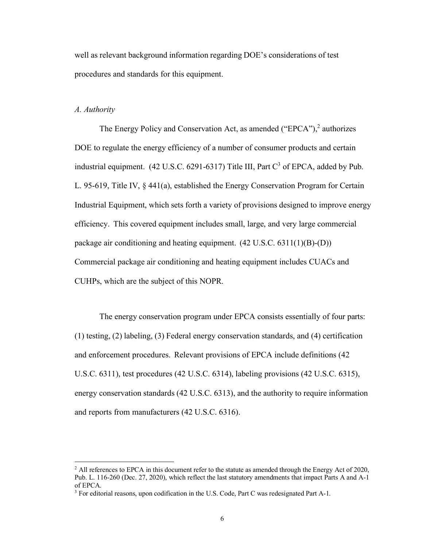well as relevant background information regarding DOE's considerations of test procedures and standards for this equipment.

#### <span id="page-6-0"></span>*A. Authority*

The Energy Policy and Conservation Act, as amended ("EPCA"),<sup>2</sup> authorizes DOE to regulate the energy efficiency of a number of consumer products and certain industrial equipment.  $(42 \text{ U.S.C. } 6291-6317)$  Title III, Part  $C^3$  of EPCA, added by Pub. L. 95-619, Title IV, § 441(a), established the Energy Conservation Program for Certain Industrial Equipment, which sets forth a variety of provisions designed to improve energy efficiency. This covered equipment includes small, large, and very large commercial package air conditioning and heating equipment. (42 U.S.C. 6311(1)(B)-(D)) Commercial package air conditioning and heating equipment includes CUACs and CUHPs, which are the subject of this NOPR.

The energy conservation program under EPCA consists essentially of four parts: (1) testing, (2) labeling, (3) Federal energy conservation standards, and (4) certification and enforcement procedures. Relevant provisions of EPCA include definitions (42 U.S.C. 6311), test procedures (42 U.S.C. 6314), labeling provisions (42 U.S.C. 6315), energy conservation standards (42 U.S.C. 6313), and the authority to require information and reports from manufacturers (42 U.S.C. 6316).

 $^2$  All references to EPCA in this document refer to the statute as amended through the Energy Act of 2020, Pub. L. 116-260 (Dec. 27, 2020), which reflect the last statutory amendments that impact Parts A and A-1 of EPCA.

<sup>&</sup>lt;sup>3</sup> For editorial reasons, upon codification in the U.S. Code, Part C was redesignated Part A-1.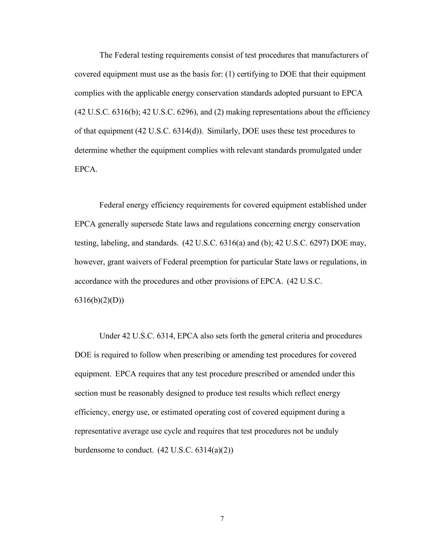The Federal testing requirements consist of test procedures that manufacturers of covered equipment must use as the basis for: (1) certifying to DOE that their equipment complies with the applicable energy conservation standards adopted pursuant to EPCA (42 U.S.C. 6316(b); 42 U.S.C. 6296), and (2) making representations about the efficiency of that equipment (42 U.S.C. 6314(d)). Similarly, DOE uses these test procedures to determine whether the equipment complies with relevant standards promulgated under EPCA.

Federal energy efficiency requirements for covered equipment established under EPCA generally supersede State laws and regulations concerning energy conservation testing, labeling, and standards. (42 U.S.C. 6316(a) and (b); 42 U.S.C. 6297) DOE may, however, grant waivers of Federal preemption for particular State laws or regulations, in accordance with the procedures and other provisions of EPCA. (42 U.S.C. 6316(b)(2)(D))

Under 42 U.S.C. 6314, EPCA also sets forth the general criteria and procedures DOE is required to follow when prescribing or amending test procedures for covered equipment. EPCA requires that any test procedure prescribed or amended under this section must be reasonably designed to produce test results which reflect energy efficiency, energy use, or estimated operating cost of covered equipment during a representative average use cycle and requires that test procedures not be unduly burdensome to conduct.  $(42 \text{ U.S.C. } 6314(a)(2))$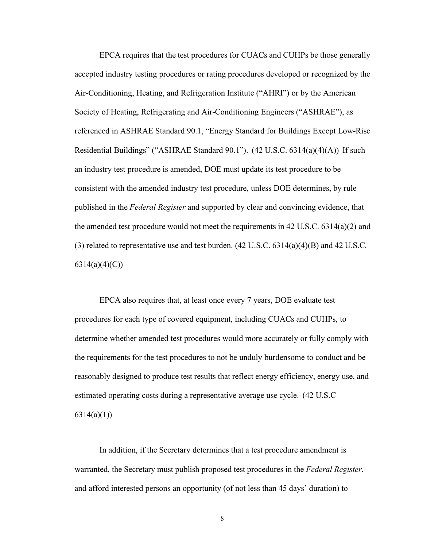EPCA requires that the test procedures for CUACs and CUHPs be those generally accepted industry testing procedures or rating procedures developed or recognized by the Air-Conditioning, Heating, and Refrigeration Institute ("AHRI") or by the American Society of Heating, Refrigerating and Air-Conditioning Engineers ("ASHRAE"), as referenced in ASHRAE Standard 90.1, "Energy Standard for Buildings Except Low-Rise Residential Buildings" ("ASHRAE Standard 90.1"). (42 U.S.C. 6314(a)(4)(A)) If such an industry test procedure is amended, DOE must update its test procedure to be consistent with the amended industry test procedure, unless DOE determines, by rule published in the *Federal Register* and supported by clear and convincing evidence, that the amended test procedure would not meet the requirements in 42 U.S.C. 6314(a)(2) and (3) related to representative use and test burden. (42 U.S.C. 6314(a)(4)(B) and 42 U.S.C.  $6314(a)(4)(C)$ 

EPCA also requires that, at least once every 7 years, DOE evaluate test procedures for each type of covered equipment, including CUACs and CUHPs, to determine whether amended test procedures would more accurately or fully comply with the requirements for the test procedures to not be unduly burdensome to conduct and be reasonably designed to produce test results that reflect energy efficiency, energy use, and estimated operating costs during a representative average use cycle. (42 U.S.C 6314(a)(1))

In addition, if the Secretary determines that a test procedure amendment is warranted, the Secretary must publish proposed test procedures in the *Federal Register*, and afford interested persons an opportunity (of not less than 45 days' duration) to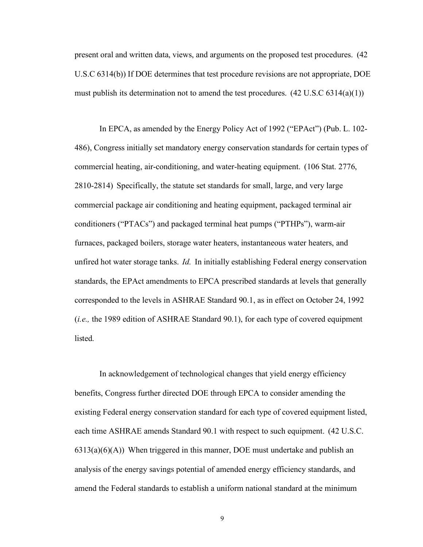present oral and written data, views, and arguments on the proposed test procedures. (42 U.S.C 6314(b)) If DOE determines that test procedure revisions are not appropriate, DOE must publish its determination not to amend the test procedures.  $(42 \text{ U.S.C } 6314(a)(1))$ 

In EPCA, as amended by the Energy Policy Act of 1992 ("EPAct") (Pub. L. 102- 486), Congress initially set mandatory energy conservation standards for certain types of commercial heating, air-conditioning, and water-heating equipment. (106 Stat. 2776, 2810-2814) Specifically, the statute set standards for small, large, and very large commercial package air conditioning and heating equipment, packaged terminal air conditioners ("PTACs") and packaged terminal heat pumps ("PTHPs"), warm-air furnaces, packaged boilers, storage water heaters, instantaneous water heaters, and unfired hot water storage tanks. *Id.* In initially establishing Federal energy conservation standards, the EPAct amendments to EPCA prescribed standards at levels that generally corresponded to the levels in ASHRAE Standard 90.1, as in effect on October 24, 1992 (*i.e.,* the 1989 edition of ASHRAE Standard 90.1), for each type of covered equipment listed.

In acknowledgement of technological changes that yield energy efficiency benefits, Congress further directed DOE through EPCA to consider amending the existing Federal energy conservation standard for each type of covered equipment listed, each time ASHRAE amends Standard 90.1 with respect to such equipment. (42 U.S.C.  $6313(a)(6)(A)$ ) When triggered in this manner, DOE must undertake and publish an analysis of the energy savings potential of amended energy efficiency standards, and amend the Federal standards to establish a uniform national standard at the minimum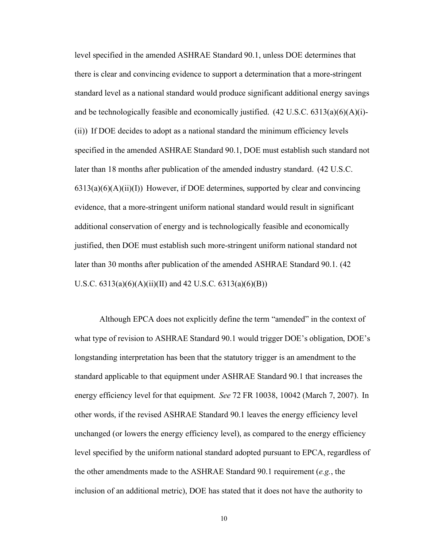level specified in the amended ASHRAE Standard 90.1, unless DOE determines that there is clear and convincing evidence to support a determination that a more-stringent standard level as a national standard would produce significant additional energy savings and be technologically feasible and economically justified.  $(42 \text{ U.S.C. } 6313(a)(6)(A)(i)$ -(ii)) If DOE decides to adopt as a national standard the minimum efficiency levels specified in the amended ASHRAE Standard 90.1, DOE must establish such standard not later than 18 months after publication of the amended industry standard. (42 U.S.C.  $6313(a)(6)(A)(ii)(I)$  However, if DOE determines, supported by clear and convincing evidence, that a more-stringent uniform national standard would result in significant additional conservation of energy and is technologically feasible and economically justified, then DOE must establish such more-stringent uniform national standard not later than 30 months after publication of the amended ASHRAE Standard 90.1. (42 U.S.C.  $6313(a)(6)(A)(ii)(II)$  and 42 U.S.C.  $6313(a)(6)(B))$ 

Although EPCA does not explicitly define the term "amended" in the context of what type of revision to ASHRAE Standard 90.1 would trigger DOE's obligation, DOE's longstanding interpretation has been that the statutory trigger is an amendment to the standard applicable to that equipment under ASHRAE Standard 90.1 that increases the energy efficiency level for that equipment. *See* 72 FR 10038, 10042 (March 7, 2007). In other words, if the revised ASHRAE Standard 90.1 leaves the energy efficiency level unchanged (or lowers the energy efficiency level), as compared to the energy efficiency level specified by the uniform national standard adopted pursuant to EPCA, regardless of the other amendments made to the ASHRAE Standard 90.1 requirement (*e.g.*, the inclusion of an additional metric), DOE has stated that it does not have the authority to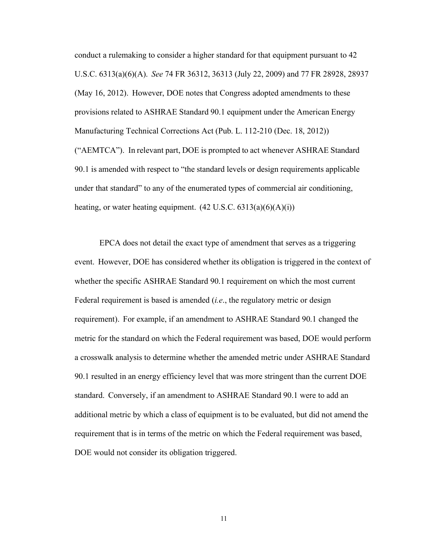conduct a rulemaking to consider a higher standard for that equipment pursuant to 42 U.S.C. 6313(a)(6)(A). *See* 74 FR 36312, 36313 (July 22, 2009) and 77 FR 28928, 28937 (May 16, 2012). However, DOE notes that Congress adopted amendments to these provisions related to ASHRAE Standard 90.1 equipment under the American Energy Manufacturing Technical Corrections Act (Pub. L. 112-210 (Dec. 18, 2012)) ("AEMTCA"). In relevant part, DOE is prompted to act whenever ASHRAE Standard 90.1 is amended with respect to "the standard levels or design requirements applicable under that standard" to any of the enumerated types of commercial air conditioning, heating, or water heating equipment.  $(42 \text{ U.S.C. } 6313(a)(6)(A)(i))$ 

EPCA does not detail the exact type of amendment that serves as a triggering event. However, DOE has considered whether its obligation is triggered in the context of whether the specific ASHRAE Standard 90.1 requirement on which the most current Federal requirement is based is amended (*i.e*., the regulatory metric or design requirement). For example, if an amendment to ASHRAE Standard 90.1 changed the metric for the standard on which the Federal requirement was based, DOE would perform a crosswalk analysis to determine whether the amended metric under ASHRAE Standard 90.1 resulted in an energy efficiency level that was more stringent than the current DOE standard. Conversely, if an amendment to ASHRAE Standard 90.1 were to add an additional metric by which a class of equipment is to be evaluated, but did not amend the requirement that is in terms of the metric on which the Federal requirement was based, DOE would not consider its obligation triggered.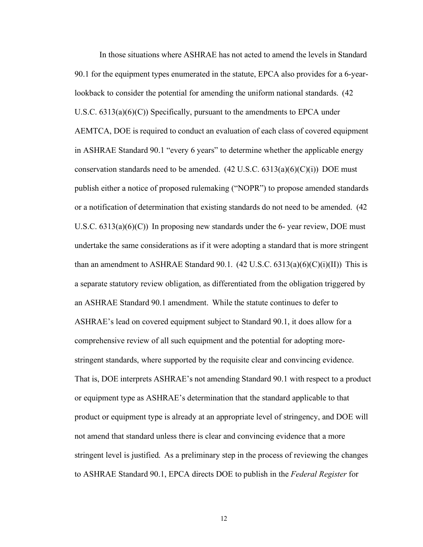In those situations where ASHRAE has not acted to amend the levels in Standard 90.1 for the equipment types enumerated in the statute, EPCA also provides for a 6-yearlookback to consider the potential for amending the uniform national standards. (42 U.S.C.  $6313(a)(6)(C)$ ) Specifically, pursuant to the amendments to EPCA under AEMTCA, DOE is required to conduct an evaluation of each class of covered equipment in ASHRAE Standard 90.1 "every 6 years" to determine whether the applicable energy conservation standards need to be amended.  $(42 \text{ U.S.C. } 6313(a)(6)(C)(i))$  DOE must publish either a notice of proposed rulemaking ("NOPR") to propose amended standards or a notification of determination that existing standards do not need to be amended. (42 U.S.C.  $6313(a)(6)(C)$  In proposing new standards under the 6-year review, DOE must undertake the same considerations as if it were adopting a standard that is more stringent than an amendment to ASHRAE Standard 90.1.  $(42 \text{ U.S.C. } 6313(a)(6)(C)(i)(II))$  This is a separate statutory review obligation, as differentiated from the obligation triggered by an ASHRAE Standard 90.1 amendment. While the statute continues to defer to ASHRAE's lead on covered equipment subject to Standard 90.1, it does allow for a comprehensive review of all such equipment and the potential for adopting morestringent standards, where supported by the requisite clear and convincing evidence. That is, DOE interprets ASHRAE's not amending Standard 90.1 with respect to a product or equipment type as ASHRAE's determination that the standard applicable to that product or equipment type is already at an appropriate level of stringency, and DOE will not amend that standard unless there is clear and convincing evidence that a more stringent level is justified. As a preliminary step in the process of reviewing the changes to ASHRAE Standard 90.1, EPCA directs DOE to publish in the *Federal Register* for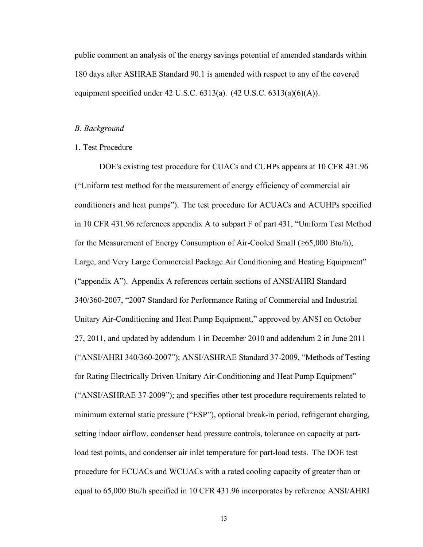public comment an analysis of the energy savings potential of amended standards within 180 days after ASHRAE Standard 90.1 is amended with respect to any of the covered equipment specified under 42 U.S.C.  $6313(a)$ .  $(42 \text{ U.S.C. } 6313(a)(6)(A))$ .

#### <span id="page-13-0"></span>*B. Background*

#### <span id="page-13-1"></span>1. Test Procedure

DOE's existing test procedure for CUACs and CUHPs appears at 10 CFR 431.96 ("Uniform test method for the measurement of energy efficiency of commercial air conditioners and heat pumps"). The test procedure for ACUACs and ACUHPs specified in 10 CFR 431.96 references appendix A to subpart F of part 431, "Uniform Test Method for the Measurement of Energy Consumption of Air-Cooled Small (≥65,000 Btu/h), Large, and Very Large Commercial Package Air Conditioning and Heating Equipment" ("appendix A"). Appendix A references certain sections of ANSI/AHRI Standard 340/360-2007, "2007 Standard for Performance Rating of Commercial and Industrial Unitary Air-Conditioning and Heat Pump Equipment," approved by ANSI on October 27, 2011, and updated by addendum 1 in December 2010 and addendum 2 in June 2011 ("ANSI/AHRI 340/360-2007"); ANSI/ASHRAE Standard 37-2009, "Methods of Testing for Rating Electrically Driven Unitary Air-Conditioning and Heat Pump Equipment" ("ANSI/ASHRAE 37-2009"); and specifies other test procedure requirements related to minimum external static pressure ("ESP"), optional break-in period, refrigerant charging, setting indoor airflow, condenser head pressure controls, tolerance on capacity at partload test points, and condenser air inlet temperature for part-load tests. The DOE test procedure for ECUACs and WCUACs with a rated cooling capacity of greater than or equal to 65,000 Btu/h specified in 10 CFR 431.96 incorporates by reference ANSI/AHRI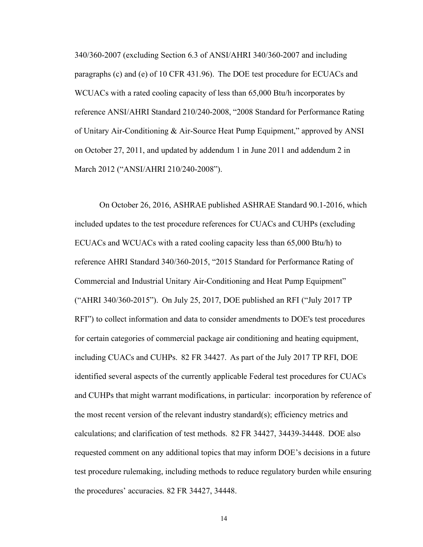340/360-2007 (excluding Section 6.3 of ANSI/AHRI 340/360-2007 and including paragraphs (c) and (e) of 10 CFR 431.96). The DOE test procedure for ECUACs and WCUACs with a rated cooling capacity of less than 65,000 Btu/h incorporates by reference ANSI/AHRI Standard 210/240-2008, "2008 Standard for Performance Rating of Unitary Air-Conditioning & Air-Source Heat Pump Equipment," approved by ANSI on October 27, 2011, and updated by addendum 1 in June 2011 and addendum 2 in March 2012 ("ANSI/AHRI 210/240-2008").

On October 26, 2016, ASHRAE published ASHRAE Standard 90.1-2016, which included updates to the test procedure references for CUACs and CUHPs (excluding ECUACs and WCUACs with a rated cooling capacity less than 65,000 Btu/h) to reference AHRI Standard 340/360-2015, "2015 Standard for Performance Rating of Commercial and Industrial Unitary Air-Conditioning and Heat Pump Equipment" ("AHRI 340/360-2015"). On July 25, 2017, DOE published an RFI ("July 2017 TP RFI") to collect information and data to consider amendments to DOE's test procedures for certain categories of commercial package air conditioning and heating equipment, including CUACs and CUHPs. 82 FR 34427. As part of the July 2017 TP RFI, DOE identified several aspects of the currently applicable Federal test procedures for CUACs and CUHPs that might warrant modifications, in particular: incorporation by reference of the most recent version of the relevant industry standard(s); efficiency metrics and calculations; and clarification of test methods. 82 FR 34427, 34439-34448. DOE also requested comment on any additional topics that may inform DOE's decisions in a future test procedure rulemaking, including methods to reduce regulatory burden while ensuring the procedures' accuracies. 82 FR 34427, 34448.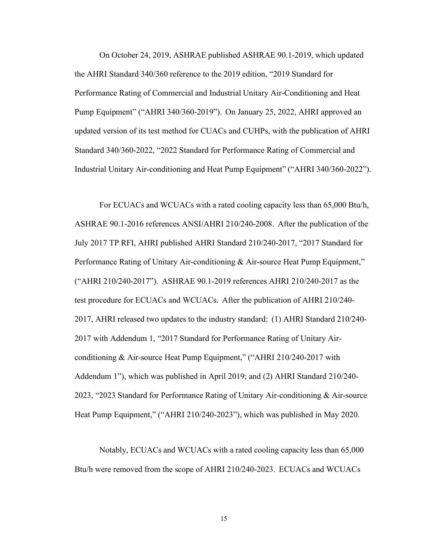On October 24, 2019, ASHRAE published ASHRAE 90.1-2019, which updated the AHRI Standard 340/360 reference to the 2019 edition, "2019 Standard for Performance Rating of Commercial and Industrial Unitary Air-Conditioning and Heat Pump Equipment" ("AHRI 340/360-2019"). On January 25, 2022, AHRI approved an updated version of its test method for CUACs and CUHPs, with the publication of AHRI Standard 340/360-2022, "2022 Standard for Performance Rating of Commercial and Industrial Unitary Air-conditioning and Heat Pump Equipment" ("AHRI 340/360-2022").

For ECUACs and WCUACs with a rated cooling capacity less than 65,000 Btu/h, ASHRAE 90.1-2016 references ANSI/AHRI 210/240-2008. After the publication of the July 2017 TP RFI, AHRI published AHRI Standard 210/240-2017, "2017 Standard for Performance Rating of Unitary Air-conditioning & Air-source Heat Pump Equipment," ("AHRI 210/240-2017"). ASHRAE 90.1-2019 references AHRI 210/240-2017 as the test procedure for ECUACs and WCUACs. After the publication of AHRI 210/240- 2017, AHRI released two updates to the industry standard: (1) AHRI Standard 210/240- 2017 with Addendum 1, "2017 Standard for Performance Rating of Unitary Airconditioning & Air-source Heat Pump Equipment," ("AHRI 210/240-2017 with Addendum 1"), which was published in April 2019; and (2) AHRI Standard 210/240- 2023, "2023 Standard for Performance Rating of Unitary Air-conditioning & Air-source Heat Pump Equipment," ("AHRI 210/240-2023"), which was published in May 2020.

Notably, ECUACs and WCUACs with a rated cooling capacity less than 65,000 Btu/h were removed from the scope of AHRI 210/240-2023. ECUACs and WCUACs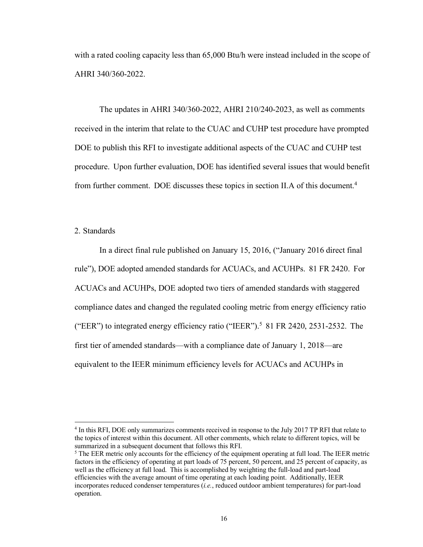with a rated cooling capacity less than 65,000 Btu/h were instead included in the scope of AHRI 340/360-2022.

The updates in AHRI 340/360-2022, AHRI 210/240-2023, as well as comments received in the interim that relate to the CUAC and CUHP test procedure have prompted DOE to publish this RFI to investigate additional aspects of the CUAC and CUHP test procedure. Upon further evaluation, DOE has identified several issues that would benefit from further comment. DOE discusses these topics in section [II.A o](#page-22-1)f this document.<sup>4</sup>

#### <span id="page-16-0"></span>2. Standards

In a direct final rule published on January 15, 2016, ("January 2016 direct final rule"), DOE adopted amended standards for ACUACs, and ACUHPs. 81 FR 2420. For ACUACs and ACUHPs, DOE adopted two tiers of amended standards with staggered compliance dates and changed the regulated cooling metric from energy efficiency ratio ("EER") to integrated energy efficiency ratio ("IEER").<sup>5</sup> 81 FR 2420, 2531-2532. The first tier of amended standards—with a compliance date of January 1, 2018—are equivalent to the IEER minimum efficiency levels for ACUACs and ACUHPs in

<sup>4</sup> In this RFI, DOE only summarizes comments received in response to the July 2017 TP RFI that relate to the topics of interest within this document. All other comments, which relate to different topics, will be summarized in a subsequent document that follows this RFI.

<sup>&</sup>lt;sup>5</sup> The EER metric only accounts for the efficiency of the equipment operating at full load. The IEER metric factors in the efficiency of operating at part loads of 75 percent, 50 percent, and 25 percent of capacity, as well as the efficiency at full load. This is accomplished by weighting the full-load and part-load efficiencies with the average amount of time operating at each loading point. Additionally, IEER incorporates reduced condenser temperatures (*i.e.*, reduced outdoor ambient temperatures) for part-load operation.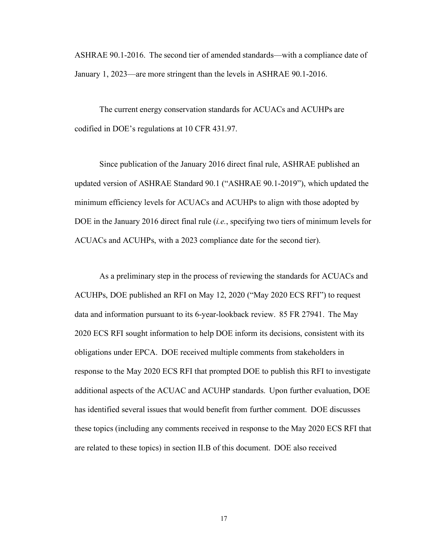ASHRAE 90.1-2016. The second tier of amended standards—with a compliance date of January 1, 2023—are more stringent than the levels in ASHRAE 90.1-2016.

The current energy conservation standards for ACUACs and ACUHPs are codified in DOE's regulations at 10 CFR 431.97.

Since publication of the January 2016 direct final rule, ASHRAE published an updated version of ASHRAE Standard 90.1 ("ASHRAE 90.1-2019"), which updated the minimum efficiency levels for ACUACs and ACUHPs to align with those adopted by DOE in the January 2016 direct final rule (*i.e.*, specifying two tiers of minimum levels for ACUACs and ACUHPs, with a 2023 compliance date for the second tier).

As a preliminary step in the process of reviewing the standards for ACUACs and ACUHPs, DOE published an RFI on May 12, 2020 ("May 2020 ECS RFI") to request data and information pursuant to its 6-year-lookback review. 85 FR 27941. The May 2020 ECS RFI sought information to help DOE inform its decisions, consistent with its obligations under EPCA. DOE received multiple comments from stakeholders in response to the May 2020 ECS RFI that prompted DOE to publish this RFI to investigate additional aspects of the ACUAC and ACUHP standards. Upon further evaluation, DOE has identified several issues that would benefit from further comment. DOE discusses these topics (including any comments received in response to the May 2020 ECS RFI that are related to these topics) in section [II.B o](#page-40-0)f this document. DOE also received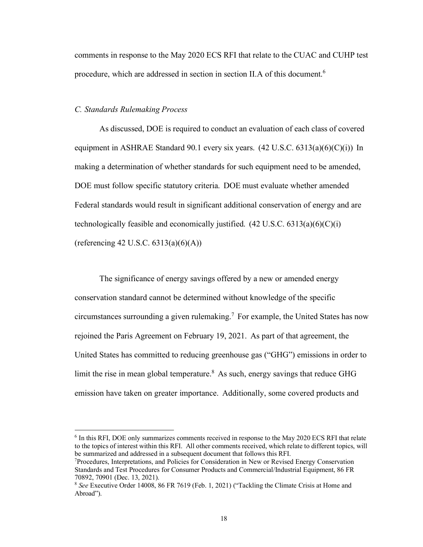comments in response to the May 2020 ECS RFI that relate to the CUAC and CUHP test procedure, which are addressed in section in section [II.A o](#page-22-1)f this document.<sup>6</sup>

#### <span id="page-18-0"></span>*C. Standards Rulemaking Process*

As discussed, DOE is required to conduct an evaluation of each class of covered equipment in ASHRAE Standard 90.1 every six years.  $(42 \text{ U.S.C. } 6313(a)(6)(C)(i))$  In making a determination of whether standards for such equipment need to be amended, DOE must follow specific statutory criteria. DOE must evaluate whether amended Federal standards would result in significant additional conservation of energy and are technologically feasible and economically justified.  $(42 \text{ U.S.C. } 6313(a)(6)(C)(i))$ (referencing 42 U.S.C.  $6313(a)(6)(A)$ )

The significance of energy savings offered by a new or amended energy conservation standard cannot be determined without knowledge of the specific circumstances surrounding a given rulemaking.<sup>7</sup> For example, the United States has now rejoined the Paris Agreement on February 19, 2021. As part of that agreement, the United States has committed to reducing greenhouse gas ("GHG") emissions in order to limit the rise in mean global temperature. $8$  As such, energy savings that reduce GHG emission have taken on greater importance. Additionally, some covered products and

<sup>6</sup> In this RFI, DOE only summarizes comments received in response to the May 2020 ECS RFI that relate to the topics of interest within this RFI. All other comments received, which relate to different topics, will be summarized and addressed in a subsequent document that follows this RFI.

<sup>7</sup> Procedures, Interpretations, and Policies for Consideration in New or Revised Energy Conservation Standards and Test Procedures for Consumer Products and Commercial/Industrial Equipment, 86 FR 70892, 70901 (Dec. 13, 2021).

<sup>8</sup> *See* Executive Order 14008, 86 FR 7619 (Feb. 1, 2021) ("Tackling the Climate Crisis at Home and Abroad").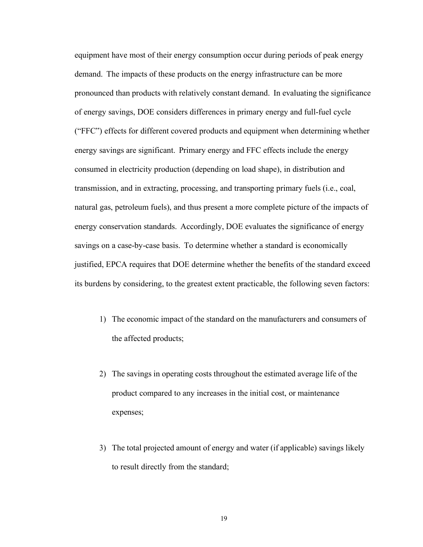equipment have most of their energy consumption occur during periods of peak energy demand. The impacts of these products on the energy infrastructure can be more pronounced than products with relatively constant demand. In evaluating the significance of energy savings, DOE considers differences in primary energy and full-fuel cycle ("FFC") effects for different covered products and equipment when determining whether energy savings are significant. Primary energy and FFC effects include the energy consumed in electricity production (depending on load shape), in distribution and transmission, and in extracting, processing, and transporting primary fuels (i.e., coal, natural gas, petroleum fuels), and thus present a more complete picture of the impacts of energy conservation standards. Accordingly, DOE evaluates the significance of energy savings on a case-by-case basis. To determine whether a standard is economically justified, EPCA requires that DOE determine whether the benefits of the standard exceed its burdens by considering, to the greatest extent practicable, the following seven factors:

- 1) The economic impact of the standard on the manufacturers and consumers of the affected products;
- 2) The savings in operating costs throughout the estimated average life of the product compared to any increases in the initial cost, or maintenance expenses;
- 3) The total projected amount of energy and water (if applicable) savings likely to result directly from the standard;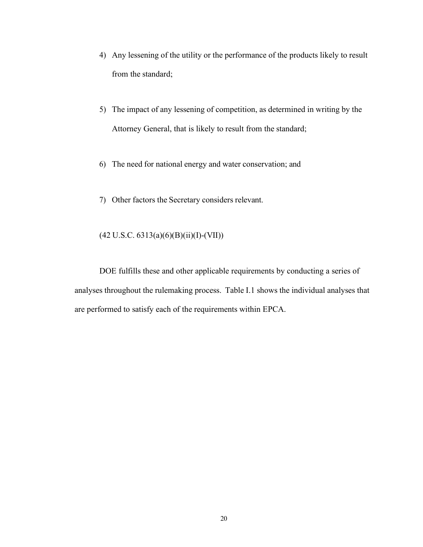- 4) Any lessening of the utility or the performance of the products likely to result from the standard;
- 5) The impact of any lessening of competition, as determined in writing by the Attorney General, that is likely to result from the standard;
- 6) The need for national energy and water conservation; and
- 7) Other factors the Secretary considers relevant.

## (42 U.S.C. 6313(a)(6)(B)(ii)(I)-(VII))

DOE fulfills these and other applicable requirements by conducting a series of analyses throughout the rulemaking process. [Table](#page-21-0) I.1 shows the individual analyses that are performed to satisfy each of the requirements within EPCA.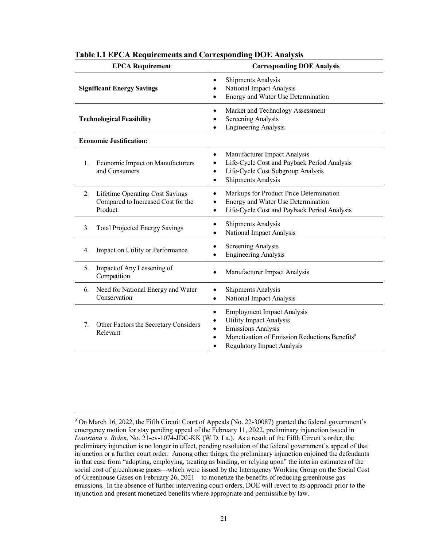| <b>EPCA Requirement</b>                                                                | <b>Corresponding DOE Analysis</b>                                                                                                                                                                                                                                   |  |  |  |  |
|----------------------------------------------------------------------------------------|---------------------------------------------------------------------------------------------------------------------------------------------------------------------------------------------------------------------------------------------------------------------|--|--|--|--|
| <b>Significant Energy Savings</b>                                                      | <b>Shipments Analysis</b><br>$\bullet$<br>National Impact Analysis<br>$\bullet$<br>Energy and Water Use Determination<br>$\bullet$                                                                                                                                  |  |  |  |  |
| <b>Technological Feasibility</b>                                                       | Market and Technology Assessment<br>$\bullet$<br>Screening Analysis<br>$\bullet$<br><b>Engineering Analysis</b><br>$\bullet$                                                                                                                                        |  |  |  |  |
| <b>Economic Justification:</b>                                                         |                                                                                                                                                                                                                                                                     |  |  |  |  |
| Economic Impact on Manufacturers<br>1.<br>and Consumers                                | Manufacturer Impact Analysis<br>$\bullet$<br>Life-Cycle Cost and Payback Period Analysis<br>$\bullet$<br>Life-Cycle Cost Subgroup Analysis<br>$\bullet$<br><b>Shipments Analysis</b><br>$\bullet$                                                                   |  |  |  |  |
| Lifetime Operating Cost Savings<br>2.<br>Compared to Increased Cost for the<br>Product | Markups for Product Price Determination<br>$\bullet$<br>Energy and Water Use Determination<br>$\bullet$<br>Life-Cycle Cost and Payback Period Analysis<br>$\bullet$                                                                                                 |  |  |  |  |
| 3.<br><b>Total Projected Energy Savings</b>                                            | <b>Shipments Analysis</b><br>$\bullet$<br>National Impact Analysis<br>$\bullet$                                                                                                                                                                                     |  |  |  |  |
| Impact on Utility or Performance<br>4.                                                 | Screening Analysis<br>$\bullet$<br><b>Engineering Analysis</b><br>$\bullet$                                                                                                                                                                                         |  |  |  |  |
| Impact of Any Lessening of<br>5.<br>Competition                                        | Manufacturer Impact Analysis<br>$\bullet$                                                                                                                                                                                                                           |  |  |  |  |
| Need for National Energy and Water<br>6.<br>Conservation                               | <b>Shipments Analysis</b><br>$\bullet$<br>National Impact Analysis<br>$\bullet$                                                                                                                                                                                     |  |  |  |  |
| Other Factors the Secretary Considers<br>7.<br>Relevant                                | <b>Employment Impact Analysis</b><br>$\bullet$<br><b>Utility Impact Analysis</b><br>$\bullet$<br><b>Emissions Analysis</b><br>$\bullet$<br>Monetization of Emission Reductions Benefits <sup>9</sup><br>$\bullet$<br><b>Regulatory Impact Analysis</b><br>$\bullet$ |  |  |  |  |

## <span id="page-21-0"></span>**Table I.1 EPCA Requirements and Corresponding DOE Analysis**

<sup>9</sup> On March 16, 2022, the Fifth Circuit Court of Appeals (No. 22-30087) granted the federal government's emergency motion for stay pending appeal of the February 11, 2022, preliminary injunction issued in *Louisiana v. Biden*, No. 21-cv-1074-JDC-KK (W.D. La.). As a result of the Fifth Circuit's order, the preliminary injunction is no longer in effect, pending resolution of the federal government's appeal of that injunction or a further court order. Among other things, the preliminary injunction enjoined the defendants in that case from "adopting, employing, treating as binding, or relying upon" the interim estimates of the social cost of greenhouse gases—which were issued by the Interagency Working Group on the Social Cost of Greenhouse Gases on February 26, 2021—to monetize the benefits of reducing greenhouse gas emissions. In the absence of further intervening court orders, DOE will revert to its approach prior to the injunction and present monetized benefits where appropriate and permissible by law.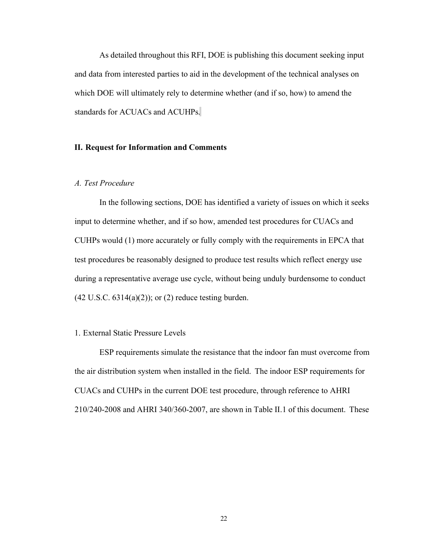As detailed throughout this RFI, DOE is publishing this document seeking input and data from interested parties to aid in the development of the technical analyses on which DOE will ultimately rely to determine whether (and if so, how) to amend the standards for ACUACs and ACUHPs.

#### <span id="page-22-0"></span>**II. Request for Information and Comments**

## <span id="page-22-1"></span>*A. Test Procedure*

In the following sections, DOE has identified a variety of issues on which it seeks input to determine whether, and if so how, amended test procedures for CUACs and CUHPs would (1) more accurately or fully comply with the requirements in EPCA that test procedures be reasonably designed to produce test results which reflect energy use during a representative average use cycle, without being unduly burdensome to conduct  $(42 \text{ U.S.C. } 6314(a)(2))$ ; or  $(2)$  reduce testing burden.

#### <span id="page-22-2"></span>1. External Static Pressure Levels

ESP requirements simulate the resistance that the indoor fan must overcome from the air distribution system when installed in the field. The indoor ESP requirements for CUACs and CUHPs in the current DOE test procedure, through reference to AHRI 210/240-2008 and AHRI 340/360-2007, are shown in [Table](#page-23-0) II.1 of this document. These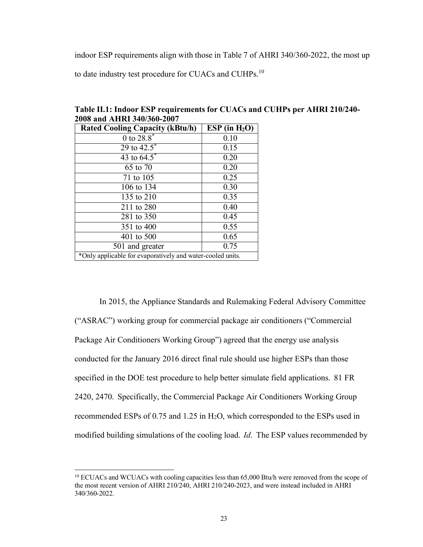indoor ESP requirements align with those in Table 7 of AHRI 340/360-2022, the most up

to date industry test procedure for CUACs and CUHPs.<sup>10</sup>

| 00 UHU I HIINI U IV/UVV 200                                |                  |  |  |  |
|------------------------------------------------------------|------------------|--|--|--|
| <b>Rated Cooling Capacity (kBtu/h)</b>                     | ESP (in $H_2O$ ) |  |  |  |
| 0 to $28.8^*$                                              | 0.10             |  |  |  |
| 29 to $42.5^*$                                             | 0.15             |  |  |  |
| 43 to $64.5^*$                                             | 0.20             |  |  |  |
| 65 to 70                                                   | 0.20             |  |  |  |
| 71 to 105                                                  | 0.25             |  |  |  |
| 106 to 134                                                 | 0.30             |  |  |  |
| 135 to 210                                                 | 0.35             |  |  |  |
| 211 to 280                                                 | 0.40             |  |  |  |
| 281 to 350                                                 | 0.45             |  |  |  |
| 351 to 400                                                 | 0.55             |  |  |  |
| 401 to 500                                                 | 0.65             |  |  |  |
| 501 and greater                                            | 0.75             |  |  |  |
| *Only applicable for evaporatively and water-cooled units. |                  |  |  |  |

<span id="page-23-0"></span>**Table II.1: Indoor ESP requirements for CUACs and CUHPs per AHRI 210/240- 2008 and AHRI 340/360-2007**

In 2015, the Appliance Standards and Rulemaking Federal Advisory Committee ("ASRAC") working group for commercial package air conditioners ("Commercial Package Air Conditioners Working Group") agreed that the energy use analysis conducted for the January 2016 direct final rule should use higher ESPs than those specified in the DOE test procedure to help better simulate field applications. 81 FR 2420, 2470. Specifically, the Commercial Package Air Conditioners Working Group recommended ESPs of 0.75 and 1.25 in H2O, which corresponded to the ESPs used in modified building simulations of the cooling load. *Id*. The ESP values recommended by

<sup>&</sup>lt;sup>10</sup> ECUACs and WCUACs with cooling capacities less than 65,000 Btu/h were removed from the scope of the most recent version of AHRI 210/240, AHRI 210/240-2023, and were instead included in AHRI 340/360-2022.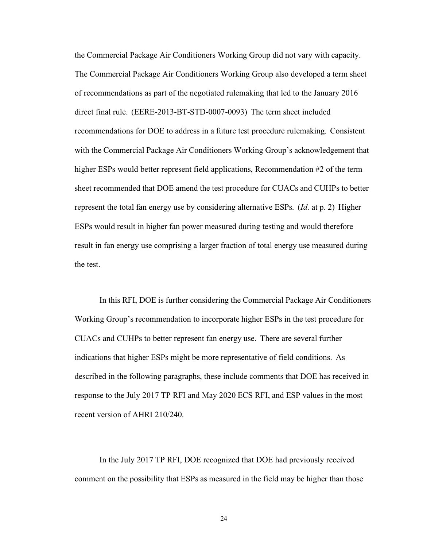the Commercial Package Air Conditioners Working Group did not vary with capacity. The Commercial Package Air Conditioners Working Group also developed a term sheet of recommendations as part of the negotiated rulemaking that led to the January 2016 direct final rule. (EERE-2013-BT-STD-0007-0093) The term sheet included recommendations for DOE to address in a future test procedure rulemaking. Consistent with the Commercial Package Air Conditioners Working Group's acknowledgement that higher ESPs would better represent field applications, Recommendation #2 of the term sheet recommended that DOE amend the test procedure for CUACs and CUHPs to better represent the total fan energy use by considering alternative ESPs. (*Id*. at p. 2) Higher ESPs would result in higher fan power measured during testing and would therefore result in fan energy use comprising a larger fraction of total energy use measured during the test.

In this RFI, DOE is further considering the Commercial Package Air Conditioners Working Group's recommendation to incorporate higher ESPs in the test procedure for CUACs and CUHPs to better represent fan energy use. There are several further indications that higher ESPs might be more representative of field conditions. As described in the following paragraphs, these include comments that DOE has received in response to the July 2017 TP RFI and May 2020 ECS RFI, and ESP values in the most recent version of AHRI 210/240.

In the July 2017 TP RFI, DOE recognized that DOE had previously received comment on the possibility that ESPs as measured in the field may be higher than those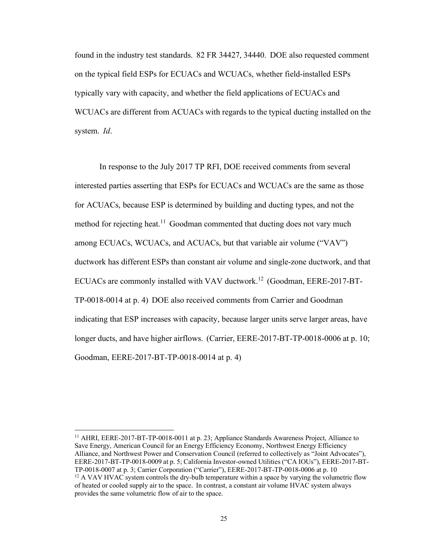found in the industry test standards. 82 FR 34427, 34440. DOE also requested comment on the typical field ESPs for ECUACs and WCUACs, whether field-installed ESPs typically vary with capacity, and whether the field applications of ECUACs and WCUACs are different from ACUACs with regards to the typical ducting installed on the system. *Id*.

In response to the July 2017 TP RFI, DOE received comments from several interested parties asserting that ESPs for ECUACs and WCUACs are the same as those for ACUACs, because ESP is determined by building and ducting types, and not the method for rejecting heat.<sup>11</sup> Goodman commented that ducting does not vary much among ECUACs, WCUACs, and ACUACs, but that variable air volume ("VAV") ductwork has different ESPs than constant air volume and single-zone ductwork, and that ECUACs are commonly installed with VAV ductwork.<sup>12</sup> (Goodman, EERE-2017-BT-TP-0018-0014 at p. 4) DOE also received comments from Carrier and Goodman indicating that ESP increases with capacity, because larger units serve larger areas, have longer ducts, and have higher airflows. (Carrier, EERE-2017-BT-TP-0018-0006 at p. 10; Goodman, EERE-2017-BT-TP-0018-0014 at p. 4)

<sup>&</sup>lt;sup>11</sup> AHRI, EERE-2017-BT-TP-0018-0011 at p. 23; Appliance Standards Awareness Project, Alliance to Save Energy, American Council for an Energy Efficiency Economy, Northwest Energy Efficiency Alliance, and Northwest Power and Conservation Council (referred to collectively as "Joint Advocates"), EERE-2017-BT-TP-0018-0009 at p. 5; California Investor-owned Utilities ("CA IOUs"), EERE-2017-BT-TP-0018-0007 at p. 3; Carrier Corporation ("Carrier"), EERE-2017-BT-TP-0018-0006 at p. 10  $12$  A VAV HVAC system controls the dry-bulb temperature within a space by varying the volumetric flow of heated or cooled supply air to the space. In contrast, a constant air volume HVAC system always provides the same volumetric flow of air to the space.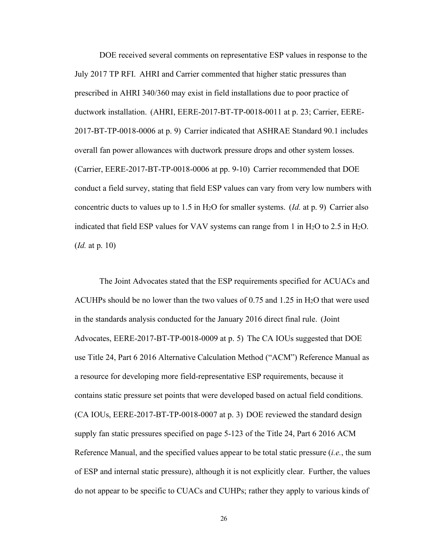DOE received several comments on representative ESP values in response to the July 2017 TP RFI. AHRI and Carrier commented that higher static pressures than prescribed in AHRI 340/360 may exist in field installations due to poor practice of ductwork installation. (AHRI, EERE-2017-BT-TP-0018-0011 at p. 23; Carrier, EERE-2017-BT-TP-0018-0006 at p. 9) Carrier indicated that ASHRAE Standard 90.1 includes overall fan power allowances with ductwork pressure drops and other system losses. (Carrier, EERE-2017-BT-TP-0018-0006 at pp. 9-10) Carrier recommended that DOE conduct a field survey, stating that field ESP values can vary from very low numbers with concentric ducts to values up to 1.5 in H2O for smaller systems. (*Id.* at p. 9) Carrier also indicated that field ESP values for VAV systems can range from 1 in  $H_2O$  to 2.5 in  $H_2O$ . (*Id.* at p. 10)

The Joint Advocates stated that the ESP requirements specified for ACUACs and ACUHPs should be no lower than the two values of  $0.75$  and  $1.25$  in  $H<sub>2</sub>O$  that were used in the standards analysis conducted for the January 2016 direct final rule. (Joint Advocates, EERE-2017-BT-TP-0018-0009 at p. 5) The CA IOUs suggested that DOE use Title 24, Part 6 2016 Alternative Calculation Method ("ACM") Reference Manual as a resource for developing more field-representative ESP requirements, because it contains static pressure set points that were developed based on actual field conditions. (CA IOUs, EERE-2017-BT-TP-0018-0007 at p. 3) DOE reviewed the standard design supply fan static pressures specified on page 5-123 of the Title 24, Part 6 2016 ACM Reference Manual, and the specified values appear to be total static pressure (*i.e.*, the sum of ESP and internal static pressure), although it is not explicitly clear. Further, the values do not appear to be specific to CUACs and CUHPs; rather they apply to various kinds of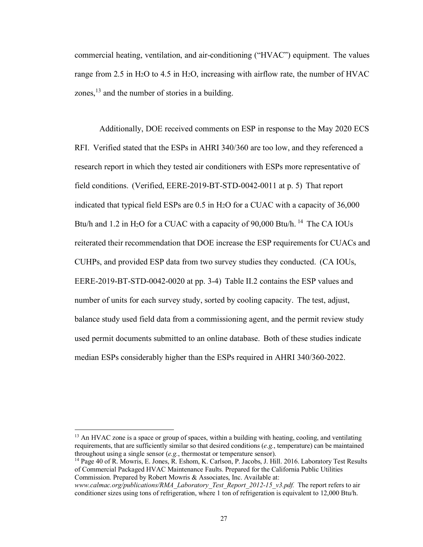commercial heating, ventilation, and air-conditioning ("HVAC") equipment. The values range from 2.5 in H<sub>2</sub>O to 4.5 in H<sub>2</sub>O, increasing with airflow rate, the number of HVAC zones,  $^{13}$  and the number of stories in a building.

Additionally, DOE received comments on ESP in response to the May 2020 ECS RFI. Verified stated that the ESPs in AHRI 340/360 are too low, and they referenced a research report in which they tested air conditioners with ESPs more representative of field conditions. (Verified, EERE-2019-BT-STD-0042-0011 at p. 5) That report indicated that typical field ESPs are  $0.5$  in H<sub>2</sub>O for a CUAC with a capacity of  $36,000$ Btu/h and 1.2 in H<sub>2</sub>O for a CUAC with a capacity of 90,000 Btu/h.<sup>14</sup> The CA IOUs reiterated their recommendation that DOE increase the ESP requirements for CUACs and CUHPs, and provided ESP data from two survey studies they conducted. (CA IOUs, EERE-2019-BT-STD-0042-0020 at pp. 3-4) [Table II.2 c](#page-28-0)ontains the ESP values and number of units for each survey study, sorted by cooling capacity. The test, adjust, balance study used field data from a commissioning agent, and the permit review study used permit documents submitted to an online database. Both of these studies indicate median ESPs considerably higher than the ESPs required in AHRI 340/360-2022.

 $13$  An HVAC zone is a space or group of spaces, within a building with heating, cooling, and ventilating requirements, that are sufficiently similar so that desired conditions (*e.g.*, temperature) can be maintained throughout using a single sensor (*e.g.*, thermostat or temperature sensor).

<sup>14</sup> Page 40 of R. Mowris, E. Jones, R. Eshom, K. Carlson, P. Jacobs, J. Hill. 2016. Laboratory Test Results of Commercial Packaged HVAC Maintenance Faults. Prepared for the California Public Utilities Commission. Prepared by Robert Mowris & Associates, Inc. Available at:

*[www.calmac.org/publications/RMA\\_Laboratory\\_Test\\_Report\\_2012-15\\_v3.pdf.](http://www.calmac.org/publications/RMA_Laboratory_Test_Report_2012-15_v3.pdf)* The report refers to air conditioner sizes using tons of refrigeration, where 1 ton of refrigeration is equivalent to 12,000 Btu/h.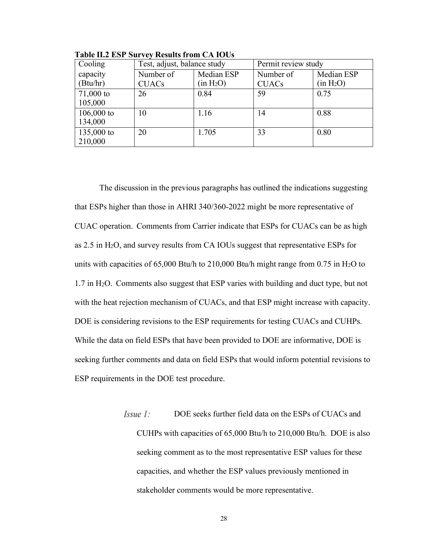| Cooling                | Test, adjust, balance study |                                     | Permit review study       |                                     |
|------------------------|-----------------------------|-------------------------------------|---------------------------|-------------------------------------|
| capacity<br>(Btu/hr)   | Number of<br><b>CUACs</b>   | Median ESP<br>(in H <sub>2</sub> O) | Number of<br><b>CUACs</b> | Median ESP<br>(in H <sub>2</sub> O) |
| $71,000$ to<br>105,000 | 26                          | 0.84                                | 59                        | 0.75                                |
| 106,000 to<br>134,000  | 10                          | 1.16                                | 14                        | 0.88                                |
| 135,000 to<br>210,000  | 20                          | 1.705                               | 33                        | 0.80                                |

<span id="page-28-0"></span>**Table II.2 ESP Survey Results from CA IOUs**

The discussion in the previous paragraphs has outlined the indications suggesting that ESPs higher than those in AHRI 340/360-2022 might be more representative of CUAC operation. Comments from Carrier indicate that ESPs for CUACs can be as high as 2.5 in H2O, and survey results from CA IOUs suggest that representative ESPs for units with capacities of 65,000 Btu/h to 210,000 Btu/h might range from 0.75 in H<sub>2</sub>O to 1.7 in H2O. Comments also suggest that ESP varies with building and duct type, but not with the heat rejection mechanism of CUACs, and that ESP might increase with capacity. DOE is considering revisions to the ESP requirements for testing CUACs and CUHPs. While the data on field ESPs that have been provided to DOE are informative, DOE is seeking further comments and data on field ESPs that would inform potential revisions to ESP requirements in the DOE test procedure.

> $I\mathit{s} \mathit{s} \mathit{u} \mathit{e} \mathit{l}$ : DOE seeks further field data on the ESPs of CUACs and CUHPs with capacities of 65,000 Btu/h to 210,000 Btu/h. DOE is also seeking comment as to the most representative ESP values for these capacities, and whether the ESP values previously mentioned in stakeholder comments would be more representative.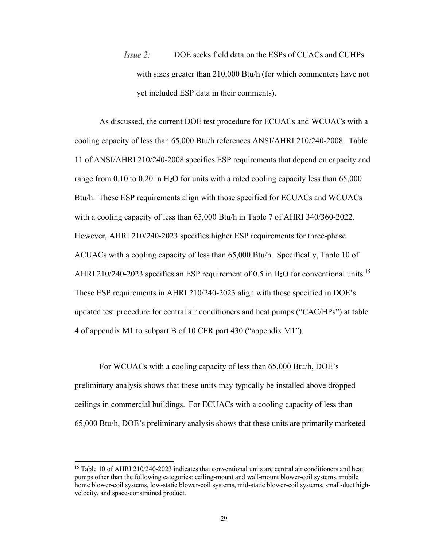$I_{SS}ue$  2: DOE seeks field data on the ESPs of CUACs and CUHPs with sizes greater than 210,000 Btu/h (for which commenters have not yet included ESP data in their comments).

As discussed, the current DOE test procedure for ECUACs and WCUACs with a cooling capacity of less than 65,000 Btu/h references ANSI/AHRI 210/240-2008. Table 11 of ANSI/AHRI 210/240-2008 specifies ESP requirements that depend on capacity and range from  $0.10$  to  $0.20$  in H<sub>2</sub>O for units with a rated cooling capacity less than  $65,000$ Btu/h. These ESP requirements align with those specified for ECUACs and WCUACs with a cooling capacity of less than 65,000 Btu/h in Table 7 of AHRI 340/360-2022. However, AHRI 210/240-2023 specifies higher ESP requirements for three-phase ACUACs with a cooling capacity of less than 65,000 Btu/h. Specifically, Table 10 of AHRI 210/240-2023 specifies an ESP requirement of 0.5 in H<sub>2</sub>O for conventional units.<sup>15</sup> These ESP requirements in AHRI 210/240-2023 align with those specified in DOE's updated test procedure for central air conditioners and heat pumps ("CAC/HPs") at table 4 of appendix M1 to subpart B of 10 CFR part 430 ("appendix M1").

For WCUACs with a cooling capacity of less than 65,000 Btu/h, DOE's preliminary analysis shows that these units may typically be installed above dropped ceilings in commercial buildings. For ECUACs with a cooling capacity of less than 65,000 Btu/h, DOE's preliminary analysis shows that these units are primarily marketed

<sup>&</sup>lt;sup>15</sup> Table 10 of AHRI 210/240-2023 indicates that conventional units are central air conditioners and heat pumps other than the following categories: ceiling-mount and wall-mount blower-coil systems, mobile home blower-coil systems, low-static blower-coil systems, mid-static blower-coil systems, small-duct highvelocity, and space-constrained product.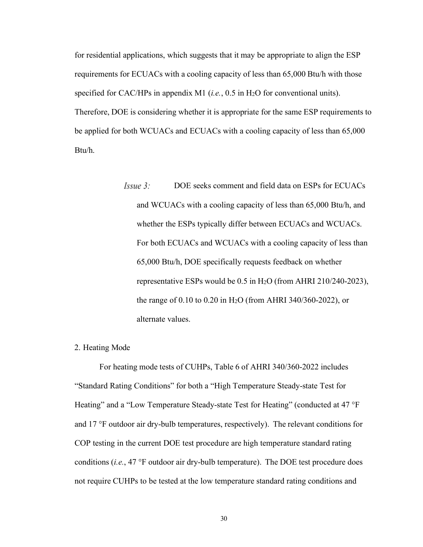for residential applications, which suggests that it may be appropriate to align the ESP requirements for ECUACs with a cooling capacity of less than 65,000 Btu/h with those specified for CAC/HPs in appendix M1 (*i.e.*, 0.5 in H2O for conventional units). Therefore, DOE is considering whether it is appropriate for the same ESP requirements to be applied for both WCUACs and ECUACs with a cooling capacity of less than 65,000 Btu/h.

> $I_{S}$ sue 3: DOE seeks comment and field data on ESPs for ECUACs and WCUACs with a cooling capacity of less than 65,000 Btu/h, and whether the ESPs typically differ between ECUACs and WCUACs. For both ECUACs and WCUACs with a cooling capacity of less than 65,000 Btu/h, DOE specifically requests feedback on whether representative ESPs would be 0.5 in H2O (from AHRI 210/240-2023), the range of 0.10 to 0.20 in  $H_2O$  (from AHRI 340/360-2022), or alternate values.

## <span id="page-30-0"></span>2. Heating Mode

For heating mode tests of CUHPs, Table 6 of AHRI 340/360-2022 includes "Standard Rating Conditions" for both a "High Temperature Steady-state Test for Heating" and a "Low Temperature Steady-state Test for Heating" (conducted at 47 °F and 17 °F outdoor air dry-bulb temperatures, respectively). The relevant conditions for COP testing in the current DOE test procedure are high temperature standard rating conditions (*i.e.*, 47 °F outdoor air dry-bulb temperature). The DOE test procedure does not require CUHPs to be tested at the low temperature standard rating conditions and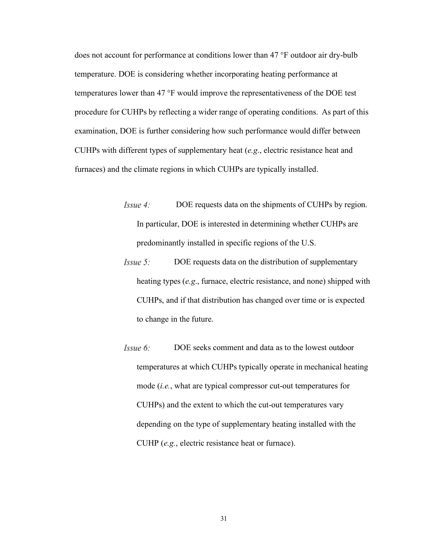does not account for performance at conditions lower than 47 °F outdoor air dry-bulb temperature. DOE is considering whether incorporating heating performance at temperatures lower than 47 °F would improve the representativeness of the DOE test procedure for CUHPs by reflecting a wider range of operating conditions. As part of this examination, DOE is further considering how such performance would differ between CUHPs with different types of supplementary heat (*e.g*., electric resistance heat and furnaces) and the climate regions in which CUHPs are typically installed.

- $I_{SS}ue 4:$ DOE requests data on the shipments of CUHPs by region. In particular, DOE is interested in determining whether CUHPs are predominantly installed in specific regions of the U.S.
- $I_{S}$ sue 5: DOE requests data on the distribution of supplementary heating types (*e.g*., furnace, electric resistance, and none) shipped with CUHPs, and if that distribution has changed over time or is expected to change in the future.
- $I\$ {S}sue 6: DOE seeks comment and data as to the lowest outdoor temperatures at which CUHPs typically operate in mechanical heating mode (*i.e.*, what are typical compressor cut-out temperatures for CUHPs) and the extent to which the cut-out temperatures vary depending on the type of supplementary heating installed with the CUHP (*e.g.*, electric resistance heat or furnace).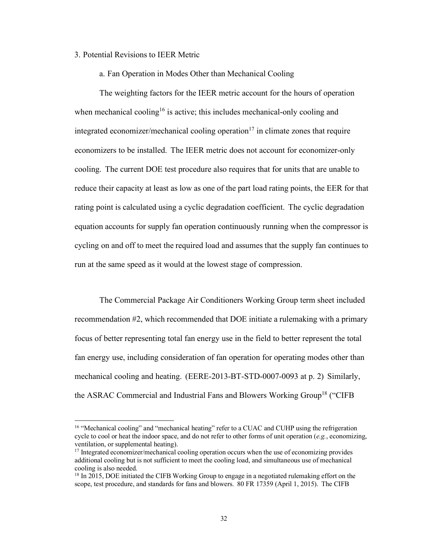#### <span id="page-32-0"></span>3. Potential Revisions to IEER Metric

a. Fan Operation in Modes Other than Mechanical Cooling

The weighting factors for the IEER metric account for the hours of operation when mechanical cooling<sup>16</sup> is active; this includes mechanical-only cooling and integrated economizer/mechanical cooling operation<sup>17</sup> in climate zones that require economizers to be installed. The IEER metric does not account for economizer-only cooling. The current DOE test procedure also requires that for units that are unable to reduce their capacity at least as low as one of the part load rating points, the EER for that rating point is calculated using a cyclic degradation coefficient. The cyclic degradation equation accounts for supply fan operation continuously running when the compressor is cycling on and off to meet the required load and assumes that the supply fan continues to run at the same speed as it would at the lowest stage of compression.

The Commercial Package Air Conditioners Working Group term sheet included recommendation #2, which recommended that DOE initiate a rulemaking with a primary focus of better representing total fan energy use in the field to better represent the total fan energy use, including consideration of fan operation for operating modes other than mechanical cooling and heating. (EERE-2013-BT-STD-0007-0093 at p. 2) Similarly, the ASRAC Commercial and Industrial Fans and Blowers Working Group<sup>18</sup> ("CIFB

<sup>&</sup>lt;sup>16</sup> "Mechanical cooling" and "mechanical heating" refer to a CUAC and CUHP using the refrigeration cycle to cool or heat the indoor space, and do not refer to other forms of unit operation (*e.g.*, economizing, ventilation, or supplemental heating).

 $17$  Integrated economizer/mechanical cooling operation occurs when the use of economizing provides additional cooling but is not sufficient to meet the cooling load, and simultaneous use of mechanical cooling is also needed.

<sup>&</sup>lt;sup>18</sup> In 2015, DOE initiated the CIFB Working Group to engage in a negotiated rulemaking effort on the scope, test procedure, and standards for fans and blowers. 80 FR 17359 (April 1, 2015). The CIFB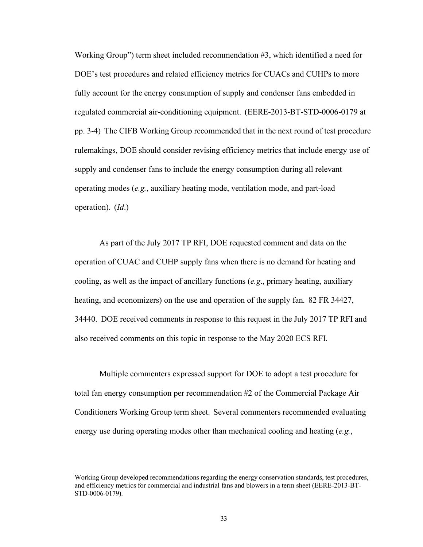Working Group") term sheet included recommendation #3, which identified a need for DOE's test procedures and related efficiency metrics for CUACs and CUHPs to more fully account for the energy consumption of supply and condenser fans embedded in regulated commercial air-conditioning equipment. (EERE-2013-BT-STD-0006-0179 at pp. 3-4) The CIFB Working Group recommended that in the next round of test procedure rulemakings, DOE should consider revising efficiency metrics that include energy use of supply and condenser fans to include the energy consumption during all relevant operating modes (*e.g.*, auxiliary heating mode, ventilation mode, and part-load operation). (*Id*.)

As part of the July 2017 TP RFI, DOE requested comment and data on the operation of CUAC and CUHP supply fans when there is no demand for heating and cooling, as well as the impact of ancillary functions (*e.g*., primary heating, auxiliary heating, and economizers) on the use and operation of the supply fan. 82 FR 34427, 34440. DOE received comments in response to this request in the July 2017 TP RFI and also received comments on this topic in response to the May 2020 ECS RFI.

Multiple commenters expressed support for DOE to adopt a test procedure for total fan energy consumption per recommendation #2 of the Commercial Package Air Conditioners Working Group term sheet. Several commenters recommended evaluating energy use during operating modes other than mechanical cooling and heating (*e.g.*,

Working Group developed recommendations regarding the energy conservation standards, test procedures, and efficiency metrics for commercial and industrial fans and blowers in a term sheet (EERE-2013-BT-STD-0006-0179).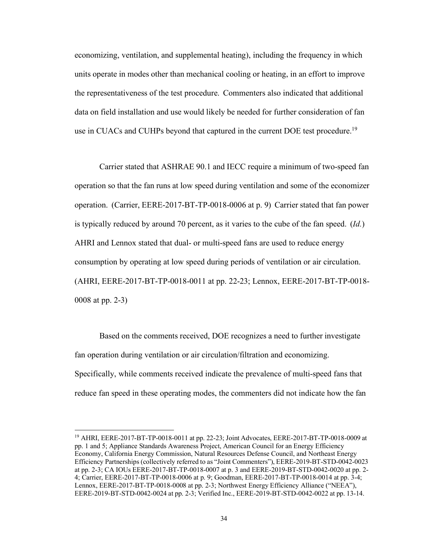economizing, ventilation, and supplemental heating), including the frequency in which units operate in modes other than mechanical cooling or heating, in an effort to improve the representativeness of the test procedure. Commenters also indicated that additional data on field installation and use would likely be needed for further consideration of fan use in CUACs and CUHPs beyond that captured in the current DOE test procedure.<sup>19</sup>

Carrier stated that ASHRAE 90.1 and IECC require a minimum of two-speed fan operation so that the fan runs at low speed during ventilation and some of the economizer operation. (Carrier, EERE-2017-BT-TP-0018-0006 at p. 9) Carrier stated that fan power is typically reduced by around 70 percent, as it varies to the cube of the fan speed. (*Id.*) AHRI and Lennox stated that dual- or multi-speed fans are used to reduce energy consumption by operating at low speed during periods of ventilation or air circulation. (AHRI, EERE-2017-BT-TP-0018-0011 at pp. 22-23; Lennox, EERE-2017-BT-TP-0018- 0008 at pp. 2-3)

Based on the comments received, DOE recognizes a need to further investigate fan operation during ventilation or air circulation/filtration and economizing. Specifically, while comments received indicate the prevalence of multi-speed fans that reduce fan speed in these operating modes, the commenters did not indicate how the fan

<sup>&</sup>lt;sup>19</sup> AHRI, EERE-2017-BT-TP-0018-0011 at pp. 22-23; Joint Advocates, EERE-2017-BT-TP-0018-0009 at pp. 1 and 5; Appliance Standards Awareness Project, American Council for an Energy Efficiency Economy, California Energy Commission, Natural Resources Defense Council, and Northeast Energy Efficiency Partnerships (collectively referred to as "Joint Commenters"), EERE-2019-BT-STD-0042-0023 at pp. 2-3; CA IOUs EERE-2017-BT-TP-0018-0007 at p. 3 and EERE-2019-BT-STD-0042-0020 at pp. 2- 4; Carrier, EERE-2017-BT-TP-0018-0006 at p. 9; Goodman, EERE-2017-BT-TP-0018-0014 at pp. 3-4; Lennox, EERE-2017-BT-TP-0018-0008 at pp. 2-3; Northwest Energy Efficiency Alliance ("NEEA"), EERE-2019-BT-STD-0042-0024 at pp. 2-3; Verified Inc., EERE-2019-BT-STD-0042-0022 at pp. 13-14.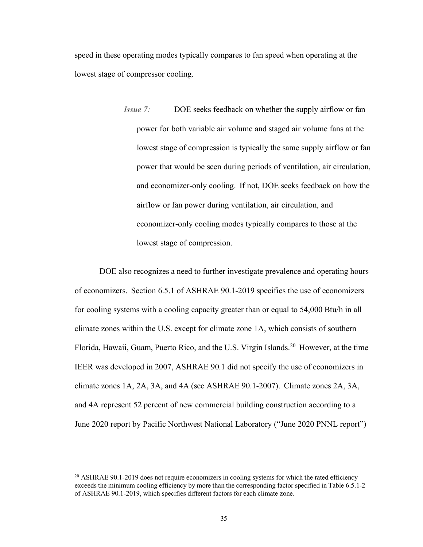speed in these operating modes typically compares to fan speed when operating at the lowest stage of compressor cooling.

> $I_{SS}ue$  7: DOE seeks feedback on whether the supply airflow or fan power for both variable air volume and staged air volume fans at the lowest stage of compression is typically the same supply airflow or fan power that would be seen during periods of ventilation, air circulation, and economizer-only cooling. If not, DOE seeks feedback on how the airflow or fan power during ventilation, air circulation, and economizer-only cooling modes typically compares to those at the lowest stage of compression.

DOE also recognizes a need to further investigate prevalence and operating hours of economizers. Section 6.5.1 of ASHRAE 90.1-2019 specifies the use of economizers for cooling systems with a cooling capacity greater than or equal to 54,000 Btu/h in all climate zones within the U.S. except for climate zone 1A, which consists of southern Florida, Hawaii, Guam, Puerto Rico, and the U.S. Virgin Islands.<sup>20</sup> However, at the time IEER was developed in 2007, ASHRAE 90.1 did not specify the use of economizers in climate zones 1A, 2A, 3A, and 4A (see ASHRAE 90.1-2007). Climate zones 2A, 3A, and 4A represent 52 percent of new commercial building construction according to a June 2020 report by Pacific Northwest National Laboratory ("June 2020 PNNL report")

<sup>&</sup>lt;sup>20</sup> ASHRAE 90.1-2019 does not require economizers in cooling systems for which the rated efficiency exceeds the minimum cooling efficiency by more than the corresponding factor specified in Table 6.5.1-2 of ASHRAE 90.1-2019, which specifies different factors for each climate zone.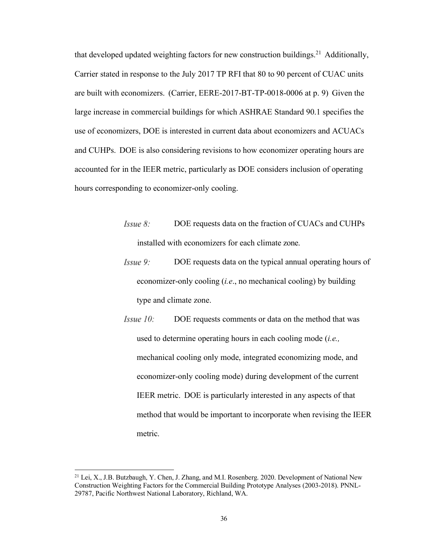that developed updated weighting factors for new construction buildings.<sup>21</sup> Additionally, Carrier stated in response to the July 2017 TP RFI that 80 to 90 percent of CUAC units are built with economizers. (Carrier, EERE-2017-BT-TP-0018-0006 at p. 9) Given the large increase in commercial buildings for which ASHRAE Standard 90.1 specifies the use of economizers, DOE is interested in current data about economizers and ACUACs and CUHPs. DOE is also considering revisions to how economizer operating hours are accounted for in the IEER metric, particularly as DOE considers inclusion of operating hours corresponding to economizer-only cooling.

- $I\$ {S} DOE requests data on the fraction of CUACs and CUHPs installed with economizers for each climate zone.
- Issue 9: DOE requests data on the typical annual operating hours of economizer-only cooling (*i.e*., no mechanical cooling) by building type and climate zone.
- $I\$ {S}sue 10: DOE requests comments or data on the method that was used to determine operating hours in each cooling mode (*i.e.,*  mechanical cooling only mode, integrated economizing mode, and economizer-only cooling mode) during development of the current IEER metric. DOE is particularly interested in any aspects of that method that would be important to incorporate when revising the IEER metric.

<sup>&</sup>lt;sup>21</sup> Lei, X., J.B. Butzbaugh, Y. Chen, J. Zhang, and M.I. Rosenberg. 2020. Development of National New Construction Weighting Factors for the Commercial Building Prototype Analyses (2003-2018). PNNL-29787, Pacific Northwest National Laboratory, Richland, WA.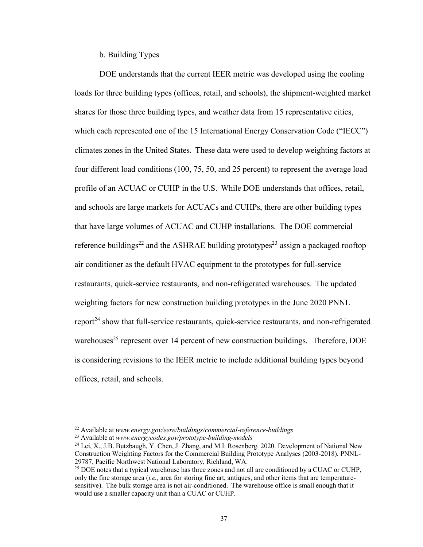b. Building Types

DOE understands that the current IEER metric was developed using the cooling loads for three building types (offices, retail, and schools), the shipment-weighted market shares for those three building types, and weather data from 15 representative cities, which each represented one of the 15 International Energy Conservation Code ("IECC") climates zones in the United States. These data were used to develop weighting factors at four different load conditions (100, 75, 50, and 25 percent) to represent the average load profile of an ACUAC or CUHP in the U.S. While DOE understands that offices, retail, and schools are large markets for ACUACs and CUHPs, there are other building types that have large volumes of ACUAC and CUHP installations. The DOE commercial reference buildings<sup>22</sup> and the ASHRAE building prototypes<sup>23</sup> assign a packaged rooftop air conditioner as the default HVAC equipment to the prototypes for full-service restaurants, quick-service restaurants, and non-refrigerated warehouses. The updated weighting factors for new construction building prototypes in the June 2020 PNNL report<sup>24</sup> show that full-service restaurants, quick-service restaurants, and non-refrigerated warehouses<sup>25</sup> represent over 14 percent of new construction buildings. Therefore, DOE is considering revisions to the IEER metric to include additional building types beyond offices, retail, and schools.

<sup>22</sup> Available at *[www.energy.gov/eere/buildings/commercial-reference-buildings](http://www.energy.gov/eere/buildings/commercial-reference-buildings)*

<sup>23</sup> Available at *[www.energycodes.gov/prototype-building-models](http://www.energycodes.gov/prototype-building-models)*

<sup>24</sup> Lei, X., J.B. Butzbaugh, Y. Chen, J. Zhang, and M.I. Rosenberg. 2020. Development of National New Construction Weighting Factors for the Commercial Building Prototype Analyses (2003-2018). PNNL-29787, Pacific Northwest National Laboratory, Richland, WA.

<sup>&</sup>lt;sup>25</sup> DOE notes that a typical warehouse has three zones and not all are conditioned by a CUAC or CUHP, only the fine storage area (*i.e.,* area for storing fine art, antiques, and other items that are temperaturesensitive). The bulk storage area is not air-conditioned. The warehouse office is small enough that it would use a smaller capacity unit than a CUAC or CUHP.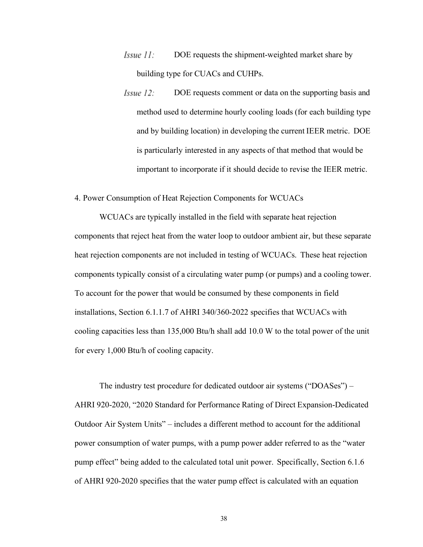- $I \, \text{S} \, \text{S} \, \text{S} \, \text{S} \, \text{S} \, \text{S} \, \text{S} \, \text{S} \, \text{S} \, \text{S} \, \text{S} \, \text{S} \, \text{S} \, \text{S} \, \text{S} \, \text{S} \, \text{S} \, \text{S} \, \text{S} \, \text{S} \, \text{S} \, \text{S} \, \text{S} \, \text{S} \, \text{S} \, \text{S} \, \text{S} \, \text{S} \, \text{S} \, \text{S} \, \text{S} \,$ DOE requests the shipment-weighted market share by building type for CUACs and CUHPs.
- $I\$ {S}sue 12: DOE requests comment or data on the supporting basis and method used to determine hourly cooling loads (for each building type and by building location) in developing the current IEER metric. DOE is particularly interested in any aspects of that method that would be important to incorporate if it should decide to revise the IEER metric.

#### <span id="page-38-0"></span>4. Power Consumption of Heat Rejection Components for WCUACs

WCUACs are typically installed in the field with separate heat rejection components that reject heat from the water loop to outdoor ambient air, but these separate heat rejection components are not included in testing of WCUACs. These heat rejection components typically consist of a circulating water pump (or pumps) and a cooling tower. To account for the power that would be consumed by these components in field installations, Section 6.1.1.7 of AHRI 340/360-2022 specifies that WCUACs with cooling capacities less than 135,000 Btu/h shall add 10.0 W to the total power of the unit for every 1,000 Btu/h of cooling capacity.

The industry test procedure for dedicated outdoor air systems ("DOASes") – AHRI 920-2020, "2020 Standard for Performance Rating of Direct Expansion-Dedicated Outdoor Air System Units" – includes a different method to account for the additional power consumption of water pumps, with a pump power adder referred to as the "water pump effect" being added to the calculated total unit power. Specifically, Section 6.1.6 of AHRI 920-2020 specifies that the water pump effect is calculated with an equation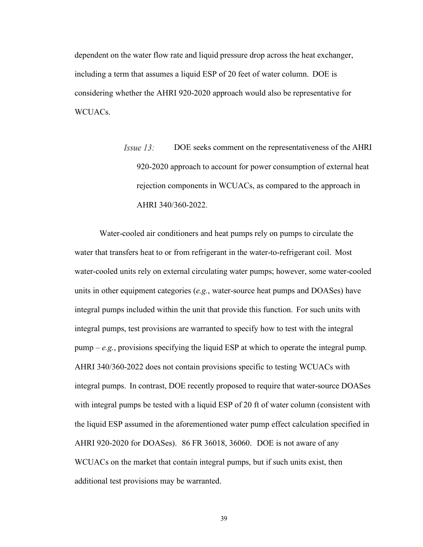dependent on the water flow rate and liquid pressure drop across the heat exchanger, including a term that assumes a liquid ESP of 20 feet of water column. DOE is considering whether the AHRI 920-2020 approach would also be representative for WCUACs.

> $Is sue 13.$ DOE seeks comment on the representativeness of the AHRI 920-2020 approach to account for power consumption of external heat rejection components in WCUACs, as compared to the approach in AHRI 340/360-2022.

Water-cooled air conditioners and heat pumps rely on pumps to circulate the water that transfers heat to or from refrigerant in the water-to-refrigerant coil. Most water-cooled units rely on external circulating water pumps; however, some water-cooled units in other equipment categories (*e.g.*, water-source heat pumps and DOASes) have integral pumps included within the unit that provide this function. For such units with integral pumps, test provisions are warranted to specify how to test with the integral  $pump - e.g.,$  provisions specifying the liquid ESP at which to operate the integral pump. AHRI 340/360-2022 does not contain provisions specific to testing WCUACs with integral pumps. In contrast, DOE recently proposed to require that water-source DOASes with integral pumps be tested with a liquid ESP of 20 ft of water column (consistent with the liquid ESP assumed in the aforementioned water pump effect calculation specified in AHRI 920-2020 for DOASes). 86 FR 36018, 36060. DOE is not aware of any WCUACs on the market that contain integral pumps, but if such units exist, then additional test provisions may be warranted.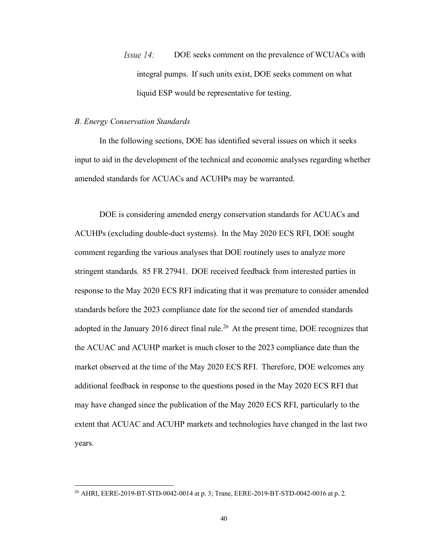$I_{SS}$ ue 14: DOE seeks comment on the prevalence of WCUACs with integral pumps. If such units exist, DOE seeks comment on what liquid ESP would be representative for testing.

#### <span id="page-40-0"></span>*B. Energy Conservation Standards*

In the following sections, DOE has identified several issues on which it seeks input to aid in the development of the technical and economic analyses regarding whether amended standards for ACUACs and ACUHPs may be warranted.

DOE is considering amended energy conservation standards for ACUACs and ACUHPs (excluding double-duct systems). In the May 2020 ECS RFI, DOE sought comment regarding the various analyses that DOE routinely uses to analyze more stringent standards. 85 FR 27941. DOE received feedback from interested parties in response to the May 2020 ECS RFI indicating that it was premature to consider amended standards before the 2023 compliance date for the second tier of amended standards adopted in the January 2016 direct final rule.<sup>26</sup> At the present time, DOE recognizes that the ACUAC and ACUHP market is much closer to the 2023 compliance date than the market observed at the time of the May 2020 ECS RFI. Therefore, DOE welcomes any additional feedback in response to the questions posed in the May 2020 ECS RFI that may have changed since the publication of the May 2020 ECS RFI, particularly to the extent that ACUAC and ACUHP markets and technologies have changed in the last two years.

<sup>26</sup> AHRI, EERE-2019-BT-STD-0042-0014 at p. 3; Trane, EERE-2019-BT-STD-0042-0016 at p. 2.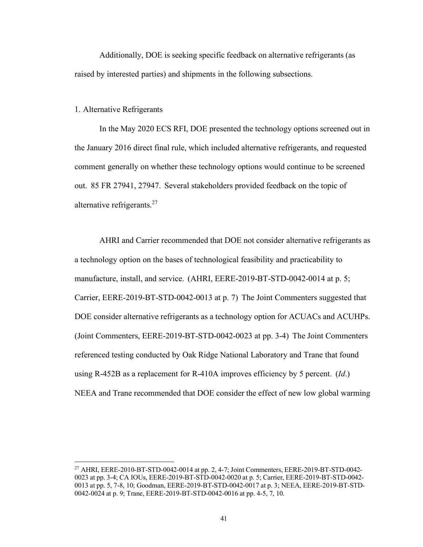Additionally, DOE is seeking specific feedback on alternative refrigerants (as raised by interested parties) and shipments in the following subsections.

#### <span id="page-41-0"></span>1. Alternative Refrigerants

In the May 2020 ECS RFI, DOE presented the technology options screened out in the January 2016 direct final rule, which included alternative refrigerants, and requested comment generally on whether these technology options would continue to be screened out. 85 FR 27941, 27947. Several stakeholders provided feedback on the topic of alternative refrigerants.<sup>27</sup>

AHRI and Carrier recommended that DOE not consider alternative refrigerants as a technology option on the bases of technological feasibility and practicability to manufacture, install, and service. (AHRI, EERE-2019-BT-STD-0042-0014 at p. 5; Carrier, EERE-2019-BT-STD-0042-0013 at p. 7) The Joint Commenters suggested that DOE consider alternative refrigerants as a technology option for ACUACs and ACUHPs. (Joint Commenters, EERE-2019-BT-STD-0042-0023 at pp. 3-4) The Joint Commenters referenced testing conducted by Oak Ridge National Laboratory and Trane that found using R-452B as a replacement for R-410A improves efficiency by 5 percent. (*Id*.) NEEA and Trane recommended that DOE consider the effect of new low global warming

<sup>27</sup> AHRI, EERE-2010-BT-STD-0042-0014 at pp. 2, 4-7; Joint Commenters, EERE-2019-BT-STD-0042- 0023 at pp. 3-4; CA IOUs, EERE-2019-BT-STD-0042-0020 at p. 5; Carrier, EERE-2019-BT-STD-0042- 0013 at pp. 5, 7-8, 10; Goodman, EERE-2019-BT-STD-0042-0017 at p. 3; NEEA, EERE-2019-BT-STD-0042-0024 at p. 9; Trane, EERE-2019-BT-STD-0042-0016 at pp. 4-5, 7, 10.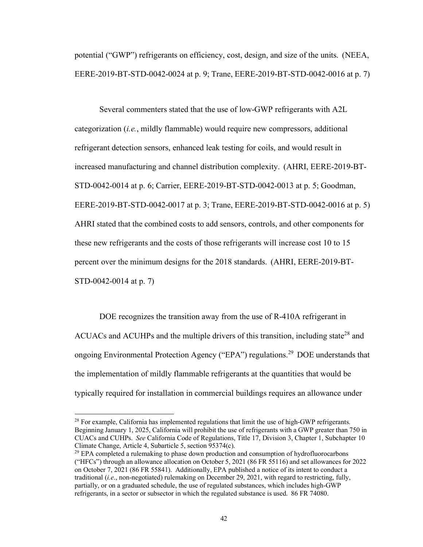potential ("GWP") refrigerants on efficiency, cost, design, and size of the units. (NEEA, EERE-2019-BT-STD-0042-0024 at p. 9; Trane, EERE-2019-BT-STD-0042-0016 at p. 7)

Several commenters stated that the use of low-GWP refrigerants with A2L categorization (*i.e.*, mildly flammable) would require new compressors, additional refrigerant detection sensors, enhanced leak testing for coils, and would result in increased manufacturing and channel distribution complexity. (AHRI, EERE-2019-BT-STD-0042-0014 at p. 6; Carrier, EERE-2019-BT-STD-0042-0013 at p. 5; Goodman, EERE-2019-BT-STD-0042-0017 at p. 3; Trane, EERE-2019-BT-STD-0042-0016 at p. 5) AHRI stated that the combined costs to add sensors, controls, and other components for these new refrigerants and the costs of those refrigerants will increase cost 10 to 15 percent over the minimum designs for the 2018 standards. (AHRI, EERE-2019-BT-STD-0042-0014 at p. 7)

DOE recognizes the transition away from the use of R-410A refrigerant in ACUACs and ACUHPs and the multiple drivers of this transition, including state<sup>28</sup> and ongoing Environmental Protection Agency ("EPA") regulations.<sup>29</sup> DOE understands that the implementation of mildly flammable refrigerants at the quantities that would be typically required for installation in commercial buildings requires an allowance under

 $28$  For example, California has implemented regulations that limit the use of high-GWP refrigerants. Beginning January 1, 2025, California will prohibit the use of refrigerants with a GWP greater than 750 in CUACs and CUHPs. *See* California Code of Regulations, Title 17, Division 3, Chapter 1, Subchapter 10 Climate Change, Article 4, Subarticle 5, section 95374(c).

 $^{29}$  EPA completed a rulemaking to phase down production and consumption of hydrofluorocarbons ("HFCs") through an allowance allocation on October 5, 2021 (86 FR 55116) and set allowances for 2022 on October 7, 2021 (86 FR 55841). Additionally, EPA published a notice of its intent to conduct a traditional (*i.e*., non-negotiated) rulemaking on December 29, 2021, with regard to restricting, fully, partially, or on a graduated schedule, the use of regulated substances, which includes high-GWP refrigerants, in a sector or subsector in which the regulated substance is used. 86 FR 74080.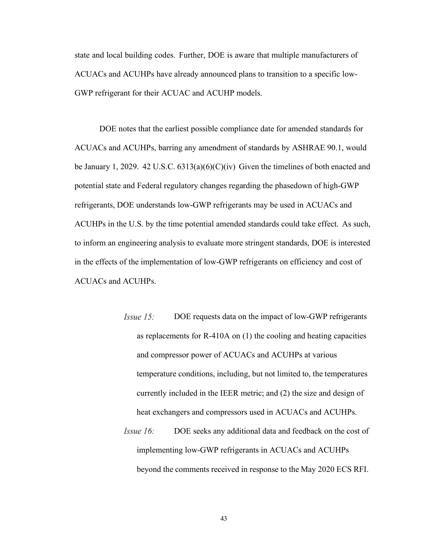state and local building codes. Further, DOE is aware that multiple manufacturers of ACUACs and ACUHPs have already announced plans to transition to a specific low-GWP refrigerant for their ACUAC and ACUHP models.

DOE notes that the earliest possible compliance date for amended standards for ACUACs and ACUHPs, barring any amendment of standards by ASHRAE 90.1, would be January 1, 2029. 42 U.S.C. 6313(a)(6)(C)(iv) Given the timelines of both enacted and potential state and Federal regulatory changes regarding the phasedown of high-GWP refrigerants, DOE understands low-GWP refrigerants may be used in ACUACs and ACUHPs in the U.S. by the time potential amended standards could take effect. As such, to inform an engineering analysis to evaluate more stringent standards, DOE is interested in the effects of the implementation of low-GWP refrigerants on efficiency and cost of ACUACs and ACUHPs.

- $I\$ {S} DOE requests data on the impact of low-GWP refrigerants as replacements for R-410A on (1) the cooling and heating capacities and compressor power of ACUACs and ACUHPs at various temperature conditions, including, but not limited to, the temperatures currently included in the IEER metric; and (2) the size and design of heat exchangers and compressors used in ACUACs and ACUHPs.
- $I\$ {S}sue 16: DOE seeks any additional data and feedback on the cost of implementing low-GWP refrigerants in ACUACs and ACUHPs beyond the comments received in response to the May 2020 ECS RFI.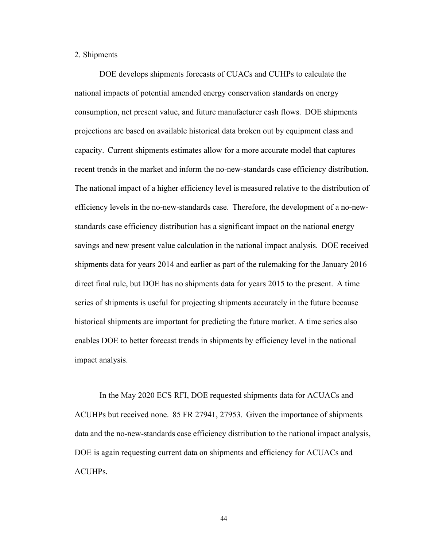#### <span id="page-44-0"></span>2. Shipments

DOE develops shipments forecasts of CUACs and CUHPs to calculate the national impacts of potential amended energy conservation standards on energy consumption, net present value, and future manufacturer cash flows. DOE shipments projections are based on available historical data broken out by equipment class and capacity. Current shipments estimates allow for a more accurate model that captures recent trends in the market and inform the no-new-standards case efficiency distribution. The national impact of a higher efficiency level is measured relative to the distribution of efficiency levels in the no-new-standards case. Therefore, the development of a no-newstandards case efficiency distribution has a significant impact on the national energy savings and new present value calculation in the national impact analysis. DOE received shipments data for years 2014 and earlier as part of the rulemaking for the January 2016 direct final rule, but DOE has no shipments data for years 2015 to the present. A time series of shipments is useful for projecting shipments accurately in the future because historical shipments are important for predicting the future market. A time series also enables DOE to better forecast trends in shipments by efficiency level in the national impact analysis.

In the May 2020 ECS RFI, DOE requested shipments data for ACUACs and ACUHPs but received none. 85 FR 27941, 27953. Given the importance of shipments data and the no-new-standards case efficiency distribution to the national impact analysis, DOE is again requesting current data on shipments and efficiency for ACUACs and ACUHPs.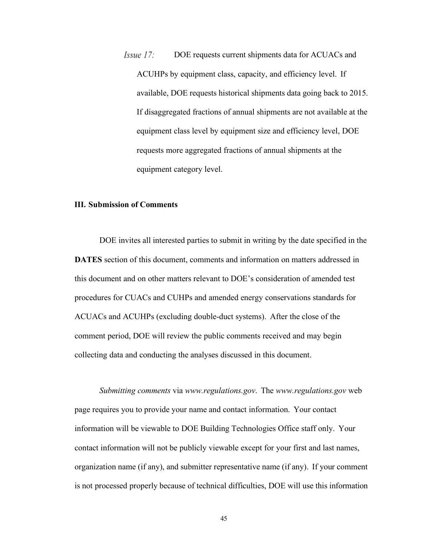$I \, \text{S} \, \text{S} \, \text{S} \, \text{S} \, \text{S} \, \text{S} \, \text{S} \, \text{S}$ DOE requests current shipments data for ACUACs and ACUHPs by equipment class, capacity, and efficiency level. If available, DOE requests historical shipments data going back to 2015. If disaggregated fractions of annual shipments are not available at the equipment class level by equipment size and efficiency level, DOE requests more aggregated fractions of annual shipments at the equipment category level.

#### <span id="page-45-0"></span>**III. Submission of Comments**

DOE invites all interested parties to submit in writing by the date specified in the **DATES** section of this document, comments and information on matters addressed in this document and on other matters relevant to DOE's consideration of amended test procedures for CUACs and CUHPs and amended energy conservations standards for ACUACs and ACUHPs (excluding double-duct systems). After the close of the comment period, DOE will review the public comments received and may begin collecting data and conducting the analyses discussed in this document.

*Submitting comments* via *[www.regulations.gov](http://www.regulations.gov/)*. The *[www.regulations.gov](http://www.regulations.gov/)* web page requires you to provide your name and contact information. Your contact information will be viewable to DOE Building Technologies Office staff only. Your contact information will not be publicly viewable except for your first and last names, organization name (if any), and submitter representative name (if any). If your comment is not processed properly because of technical difficulties, DOE will use this information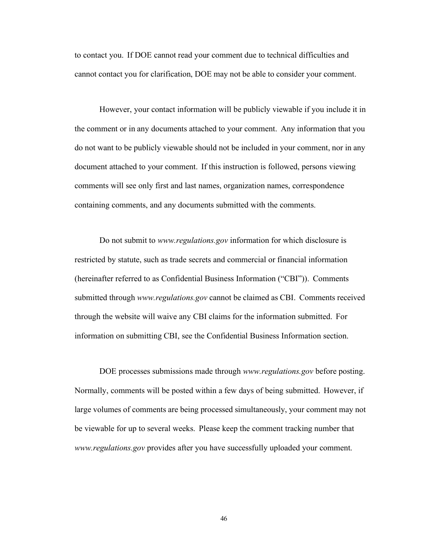to contact you. If DOE cannot read your comment due to technical difficulties and cannot contact you for clarification, DOE may not be able to consider your comment.

However, your contact information will be publicly viewable if you include it in the comment or in any documents attached to your comment. Any information that you do not want to be publicly viewable should not be included in your comment, nor in any document attached to your comment. If this instruction is followed, persons viewing comments will see only first and last names, organization names, correspondence containing comments, and any documents submitted with the comments.

Do not submit to *[www.regulations.gov](http://www.regulations.gov/)* information for which disclosure is restricted by statute, such as trade secrets and commercial or financial information (hereinafter referred to as Confidential Business Information ("CBI")). Comments submitted through *[www.regulations.gov](http://www.regulations.gov/)* cannot be claimed as CBI. Comments received through the website will waive any CBI claims for the information submitted. For information on submitting CBI, see the Confidential Business Information section.

DOE processes submissions made through *[www.regulations.gov](http://www.regulations.gov/)* before posting. Normally, comments will be posted within a few days of being submitted. However, if large volumes of comments are being processed simultaneously, your comment may not be viewable for up to several weeks. Please keep the comment tracking number that *[www.regulations.gov](http://www.regulations.gov/)* provides after you have successfully uploaded your comment.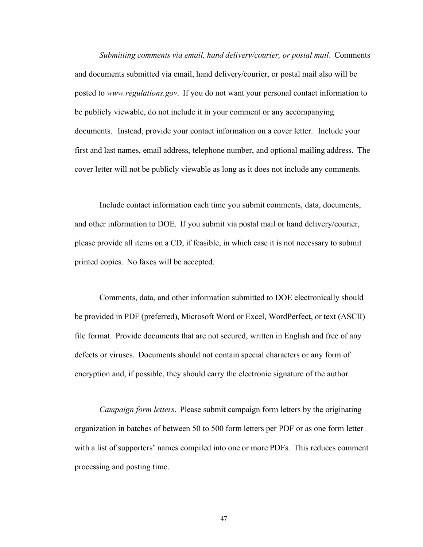*Submitting comments via email, hand delivery/courier, or postal mail*. Comments and documents submitted via email, hand delivery/courier, or postal mail also will be posted to *[www.regulations.gov](http://www.regulations.gov/)*. If you do not want your personal contact information to be publicly viewable, do not include it in your comment or any accompanying documents. Instead, provide your contact information on a cover letter. Include your first and last names, email address, telephone number, and optional mailing address. The cover letter will not be publicly viewable as long as it does not include any comments.

Include contact information each time you submit comments, data, documents, and other information to DOE. If you submit via postal mail or hand delivery/courier, please provide all items on a CD, if feasible, in which case it is not necessary to submit printed copies. No faxes will be accepted.

Comments, data, and other information submitted to DOE electronically should be provided in PDF (preferred), Microsoft Word or Excel, WordPerfect, or text (ASCII) file format. Provide documents that are not secured, written in English and free of any defects or viruses. Documents should not contain special characters or any form of encryption and, if possible, they should carry the electronic signature of the author.

*Campaign form letters*. Please submit campaign form letters by the originating organization in batches of between 50 to 500 form letters per PDF or as one form letter with a list of supporters' names compiled into one or more PDFs. This reduces comment processing and posting time.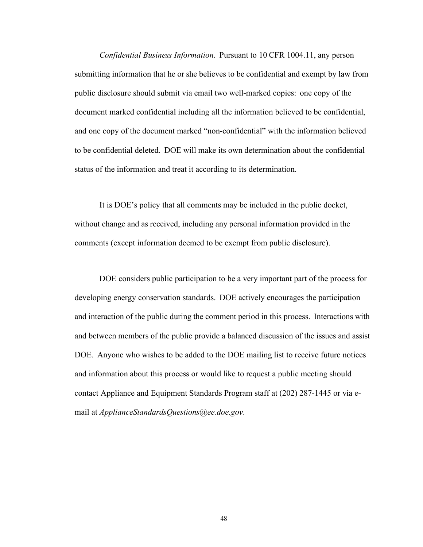*Confidential Business Information*. Pursuant to 10 CFR 1004.11, any person submitting information that he or she believes to be confidential and exempt by law from public disclosure should submit via email two well-marked copies: one copy of the document marked confidential including all the information believed to be confidential, and one copy of the document marked "non-confidential" with the information believed to be confidential deleted. DOE will make its own determination about the confidential status of the information and treat it according to its determination.

It is DOE's policy that all comments may be included in the public docket, without change and as received, including any personal information provided in the comments (except information deemed to be exempt from public disclosure).

DOE considers public participation to be a very important part of the process for developing energy conservation standards. DOE actively encourages the participation and interaction of the public during the comment period in this process. Interactions with and between members of the public provide a balanced discussion of the issues and assist DOE. Anyone who wishes to be added to the DOE mailing list to receive future notices and information about this process or would like to request a public meeting should contact Appliance and Equipment Standards Program staff at (202) 287-1445 or via email at *[ApplianceStandardsQuestions@ee.doe.gov](mailto:ApplianceStandardsQuestions@ee.doe.gov)*.